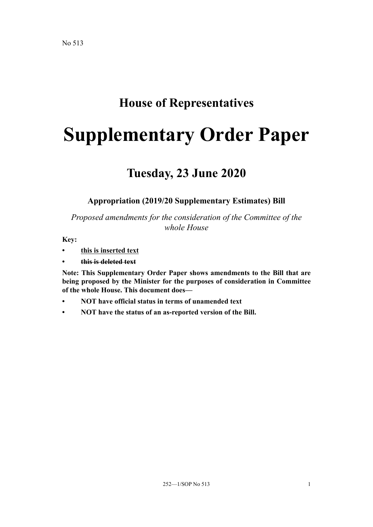# **House of Representatives**

# **Supplementary Order Paper**

# **Tuesday, 23 June 2020**

## **Appropriation (2019/20 Supplementary Estimates) Bill**

*Proposed amendments for the consideration of the Committee of the whole House*

**Key:**

- **• this is inserted text**
- **• this is deleted text**

**Note: This Supplementary Order Paper shows amendments to the Bill that are being proposed by the Minister for the purposes of consideration in Committee of the whole House. This document does—**

- **• NOT have official status in terms of unamended text**
- **• NOT have the status of an as-reported version of the Bill.**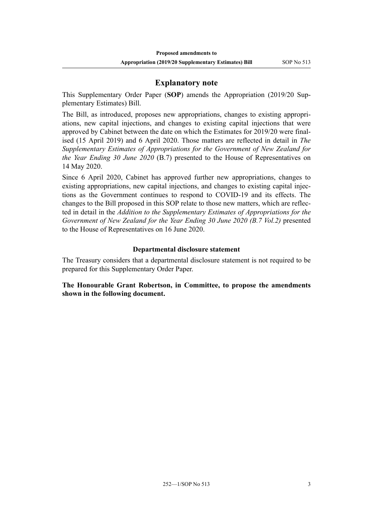## **Explanatory note**

This Supplementary Order Paper (**SOP**) amends the Appropriation (2019/20 Supplementary Estimates) Bill.

The Bill, as introduced, proposes new appropriations, changes to existing appropriations, new capital injections, and changes to existing capital injections that were approved by Cabinet between the date on which the Estimates for 2019/20 were finalised (15 April 2019) and 6 April 2020. Those matters are reflected in detail in *The Supplementary Estimates of Appropriations for the Government of New Zealand for the Year Ending 30 June 2020* (B.7) presented to the House of Representatives on 14 May 2020.

Since 6 April 2020, Cabinet has approved further new appropriations, changes to existing appropriations, new capital injections, and changes to existing capital injections as the Government continues to respond to COVID-19 and its effects. The changes to the Bill proposed in this SOP relate to those new matters, which are reflected in detail in the *Addition to the Supplementary Estimates of Appropriations for the Government of New Zealand for the Year Ending 30 June 2020 (B.7 Vol.2)* presented to the House of Representatives on 16 June 2020.

#### **Departmental disclosure statement**

The Treasury considers that a departmental disclosure statement is not required to be prepared for this Supplementary Order Paper.

**The Honourable Grant Robertson, in Committee, to propose the amendments shown in the following document.**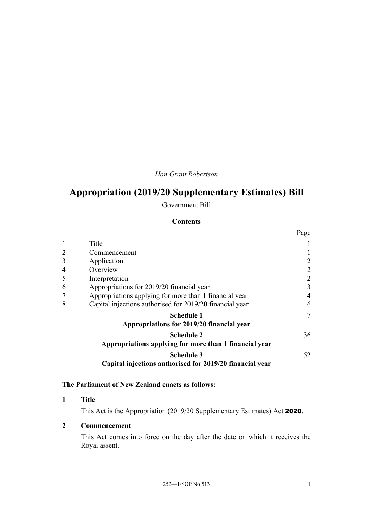*Hon Grant Robertson*

# **Appropriation (2019/20 Supplementary Estimates) Bill**

Government Bill

### **Contents**

| rage                                                     |
|----------------------------------------------------------|
|                                                          |
|                                                          |
| $\overline{2}$                                           |
| $\overline{2}$                                           |
| $\overline{2}$                                           |
| 3                                                        |
| $\overline{4}$                                           |
| 6                                                        |
| 7                                                        |
|                                                          |
| 36                                                       |
| Appropriations applying for more than 1 financial year   |
| 52                                                       |
| Capital injections authorised for 2019/20 financial year |
|                                                          |

### **The Parliament of New Zealand enacts as follows:**

**1 Title**

This Act is the Appropriation (2019/20 Supplementary Estimates) Act 2020.

#### **2 Commencement**

This Act comes into force on the day after the date on which it receives the Royal assent.

 $\mathbf{D}_{\text{max}}$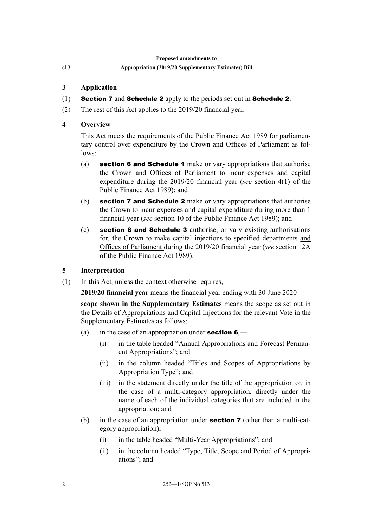**Appropriation (2019/20 Supplementary Estimates) Bill**

#### **3 Application**

<span id="page-5-0"></span>cl 3

- (1) Section 7 and Schedule 2 apply to the periods set out in Schedule 2.
- (2) The rest of this Act applies to the 2019/20 financial year.

#### **4 Overview**

This Act meets the requirements of the Public Finance Act 1989 for parliamentary control over expenditure by the Crown and Offices of Parliament as follows:

- (a) section 6 and Schedule 1 make or vary appropriations that authorise the Crown and Offices of Parliament to incur expenses and capital expenditure during the 2019/20 financial year (*see* section 4(1) of the Public Finance Act 1989); and
- (b) section 7 and Schedule 2 make or vary appropriations that authorise the Crown to incur expenses and capital expenditure during more than 1 financial year (*see* section 10 of the Public Finance Act 1989); and
- (c) section 8 and Schedule 3 authorise, or vary existing authorisations for, the Crown to make capital injections to specified departments and Offices of Parliament during the 2019/20 financial year (*see* section 12A of the Public Finance Act 1989).

#### **5 Interpretation**

(1) In this Act, unless the context otherwise requires,—

**2019/20 financial year** means the financial year ending with 30 June 2020

**scope shown in the Supplementary Estimates** means the scope as set out in the Details of Appropriations and Capital Injections for the relevant Vote in the Supplementary Estimates as follows:

- (a) in the case of an appropriation under **section 6**,—
	- (i) in the table headed "Annual Appropriations and Forecast Permanent Appropriations"; and
	- (ii) in the column headed "Titles and Scopes of Appropriations by Appropriation Type"; and
	- (iii) in the statement directly under the title of the appropriation or, in the case of a multi-category appropriation, directly under the name of each of the individual categories that are included in the appropriation; and
- (b) in the case of an appropriation under **section 7** (other than a multi-category appropriation),—
	- (i) in the table headed "Multi-Year Appropriations"; and
	- (ii) in the column headed "Type, Title, Scope and Period of Appropriations"; and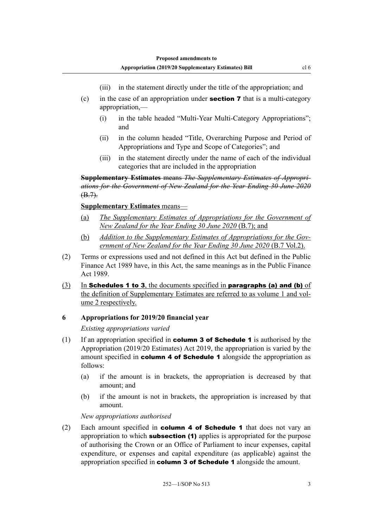- (iii) in the statement directly under the title of the appropriation; and
- <span id="page-6-0"></span>(c) in the case of an appropriation under **section 7** that is a multi-category appropriation,—
	- (i) in the table headed "Multi-Year Multi-Category Appropriations"; and
	- (ii) in the column headed "Title, Overarching Purpose and Period of Appropriations and Type and Scope of Categories"; and
	- (iii) in the statement directly under the name of each of the individual categories that are included in the appropriation

**Supplementary Estimates** means *The Supplementary Estimates of Appropriations for the Government of New Zealand for the Year Ending 30 June 2020* (B.7).

#### **Supplementary Estimates** means—

- (a) *The Supplementary Estimates of Appropriations for the Government of New Zealand for the Year Ending 30 June 2020* (B.7); and
- (b) *Addition to the Supplementary Estimates of Appropriations for the Government of New Zealand for the Year Ending 30 June 2020* (B.7 Vol.2).
- (2) Terms or expressions used and not defined in this Act but defined in the Public Finance Act 1989 have, in this Act, the same meanings as in the Public Finance Act 1989.
- (3) In Schedules 1 to 3, the documents specified in paragraphs (a) and (b) of the definition of Supplementary Estimates are referred to as volume 1 and volume 2 respectively.

#### **6 Appropriations for 2019/20 financial year**

*Existing appropriations varied*

- (1) If an appropriation specified in **column 3 of Schedule 1** is authorised by the Appropriation (2019/20 Estimates) Act 2019, the appropriation is varied by the amount specified in column 4 of Schedule 1 alongside the appropriation as follows:
	- (a) if the amount is in brackets, the appropriation is decreased by that amount; and
	- (b) if the amount is not in brackets, the appropriation is increased by that amount.

*New appropriations authorised*

(2) Each amount specified in column 4 of Schedule 1 that does not vary an appropriation to which **subsection (1)** applies is appropriated for the purpose of authorising the Crown or an Office of Parliament to incur expenses, capital expenditure, or expenses and capital expenditure (as applicable) against the appropriation specified in column 3 of Schedule 1 alongside the amount.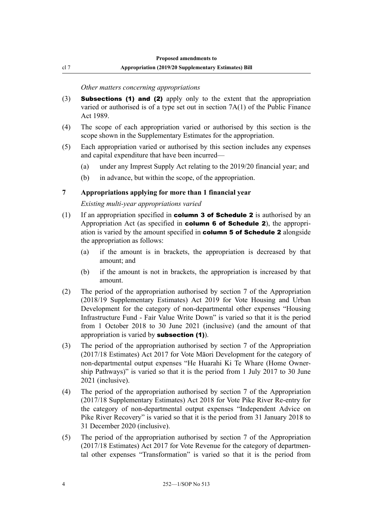#### *Other matters concerning appropriations*

- <span id="page-7-0"></span>(3) Subsections (1) and (2) apply only to the extent that the appropriation varied or authorised is of a type set out in section 7A(1) of the Public Finance Act 1989.
- (4) The scope of each appropriation varied or authorised by this section is the scope shown in the Supplementary Estimates for the appropriation.
- (5) Each appropriation varied or authorised by this section includes any expenses and capital expenditure that have been incurred—
	- (a) under any Imprest Supply Act relating to the 2019/20 financial year; and
	- (b) in advance, but within the scope, of the appropriation.

#### **7 Appropriations applying for more than 1 financial year**

*Existing multi-year appropriations varied*

- (1) If an appropriation specified in column 3 of Schedule 2 is authorised by an Appropriation Act (as specified in **column 6 of Schedule 2**), the appropriation is varied by the amount specified in column 5 of Schedule 2 alongside the appropriation as follows:
	- (a) if the amount is in brackets, the appropriation is decreased by that amount; and
	- (b) if the amount is not in brackets, the appropriation is increased by that amount.
- (2) The period of the appropriation authorised by section 7 of the Appropriation (2018/19 Supplementary Estimates) Act 2019 for Vote Housing and Urban Development for the category of non-departmental other expenses "Housing Infrastructure Fund - Fair Value Write Down" is varied so that it is the period from 1 October 2018 to 30 June 2021 (inclusive) (and the amount of that appropriation is varied by **subsection** (1).
- (3) The period of the appropriation authorised by section 7 of the Appropriation (2017/18 Estimates) Act 2017 for Vote Māori Development for the category of non-departmental output expenses "He Huarahi Ki Te Whare (Home Ownership Pathways)" is varied so that it is the period from 1 July 2017 to 30 June 2021 (inclusive).
- (4) The period of the appropriation authorised by section 7 of the Appropriation (2017/18 Supplementary Estimates) Act 2018 for Vote Pike River Re-entry for the category of non-departmental output expenses "Independent Advice on Pike River Recovery" is varied so that it is the period from 31 January 2018 to 31 December 2020 (inclusive).
- (5) The period of the appropriation authorised by section 7 of the Appropriation (2017/18 Estimates) Act 2017 for Vote Revenue for the category of departmental other expenses "Transformation" is varied so that it is the period from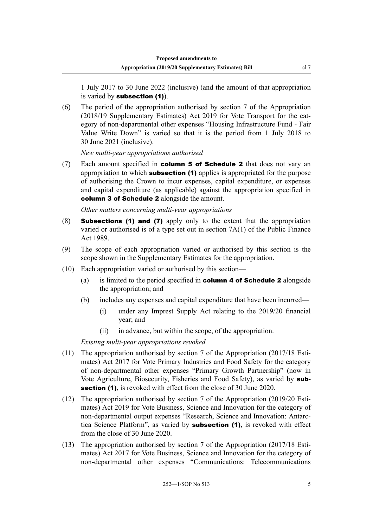1 July 2017 to 30 June 2022 (inclusive) (and the amount of that appropriation is varied by subsection (1)).

(6) The period of the appropriation authorised by section 7 of the Appropriation (2018/19 Supplementary Estimates) Act 2019 for Vote Transport for the category of non-departmental other expenses "Housing Infrastructure Fund - Fair Value Write Down" is varied so that it is the period from 1 July 2018 to 30 June 2021 (inclusive).

*New multi-year appropriations authorised*

(7) Each amount specified in **column 5 of Schedule 2** that does not vary an appropriation to which **subsection (1)** applies is appropriated for the purpose of authorising the Crown to incur expenses, capital expenditure, or expenses and capital expenditure (as applicable) against the appropriation specified in column 3 of Schedule 2 alongside the amount.

*Other matters concerning multi-year appropriations*

- (8) Subsections (1) and (7) apply only to the extent that the appropriation varied or authorised is of a type set out in section 7A(1) of the Public Finance Act 1989.
- (9) The scope of each appropriation varied or authorised by this section is the scope shown in the Supplementary Estimates for the appropriation.
- (10) Each appropriation varied or authorised by this section—
	- (a) is limited to the period specified in **column 4 of Schedule 2** alongside the appropriation; and
	- (b) includes any expenses and capital expenditure that have been incurred—
		- (i) under any Imprest Supply Act relating to the 2019/20 financial year; and
		- (ii) in advance, but within the scope, of the appropriation.

*Existing multi-year appropriations revoked*

- (11) The appropriation authorised by section 7 of the Appropriation (2017/18 Estimates) Act 2017 for Vote Primary Industries and Food Safety for the category of non-departmental other expenses "Primary Growth Partnership" (now in Vote Agriculture, Biosecurity, Fisheries and Food Safety), as varied by subsection (1), is revoked with effect from the close of 30 June 2020.
- (12) The appropriation authorised by section 7 of the Appropriation (2019/20 Estimates) Act 2019 for Vote Business, Science and Innovation for the category of non-departmental output expenses "Research, Science and Innovation: Antarctica Science Platform", as varied by subsection (1), is revoked with effect from the close of 30 June 2020.
- (13) The appropriation authorised by section 7 of the Appropriation (2017/18 Estimates) Act 2017 for Vote Business, Science and Innovation for the category of non-departmental other expenses "Communications: Telecommunications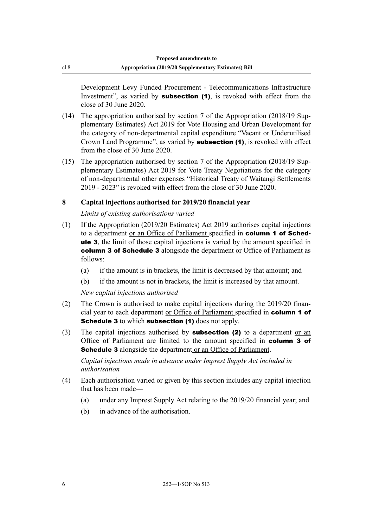<span id="page-9-0"></span>Development Levy Funded Procurement - Telecommunications Infrastructure Investment", as varied by **subsection (1)**, is revoked with effect from the close of 30 June 2020.

- (14) The appropriation authorised by section 7 of the Appropriation (2018/19 Supplementary Estimates) Act 2019 for Vote Housing and Urban Development for the category of non-departmental capital expenditure "Vacant or Underutilised Crown Land Programme", as varied by subsection (1), is revoked with effect from the close of 30 June 2020.
- (15) The appropriation authorised by section 7 of the Appropriation (2018/19 Supplementary Estimates) Act 2019 for Vote Treaty Negotiations for the category of non-departmental other expenses "Historical Treaty of Waitangi Settlements 2019 - 2023" is revoked with effect from the close of 30 June 2020.

#### **8 Capital injections authorised for 2019/20 financial year**

#### *Limits of existing authorisations varied*

- (1) If the Appropriation (2019/20 Estimates) Act 2019 authorises capital injections to a department or an Office of Parliament specified in column 1 of Schedule 3, the limit of those capital injections is varied by the amount specified in column 3 of Schedule 3 alongside the department or Office of Parliament as follows:
	- (a) if the amount is in brackets, the limit is decreased by that amount; and
	- (b) if the amount is not in brackets, the limit is increased by that amount.

*New capital injections authorised*

- (2) The Crown is authorised to make capital injections during the 2019/20 financial year to each department or Office of Parliament specified in column 1 of Schedule 3 to which subsection (1) does not apply.
- (3) The capital injections authorised by **subsection (2)** to a department or an Office of Parliament are limited to the amount specified in column 3 of **Schedule 3** alongside the department or an Office of Parliament.

*Capital injections made in advance under Imprest Supply Act included in authorisation*

- (4) Each authorisation varied or given by this section includes any capital injection that has been made—
	- (a) under any Imprest Supply Act relating to the 2019/20 financial year; and
	- (b) in advance of the authorisation.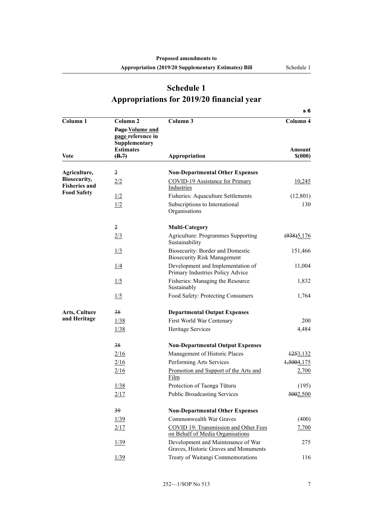s 6

# <span id="page-10-0"></span>**Schedule 1 Appropriations for 2019/20 financial year**

| Column 1                             | Column <sub>2</sub>                                                       | Column 3                                                                    | Column 4   |
|--------------------------------------|---------------------------------------------------------------------------|-----------------------------------------------------------------------------|------------|
| <b>Vote</b>                          | Page-Volume and<br>page reference in<br>Supplementary<br><b>Estimates</b> |                                                                             | Amount     |
|                                      | (B.7)                                                                     | Appropriation                                                               | \$(000)    |
| Agriculture,                         | 2                                                                         | <b>Non-Departmental Other Expenses</b>                                      |            |
| Biosecurity,<br><b>Fisheries and</b> | 2/2                                                                       | <b>COVID-19 Assistance for Primary</b><br>Industries                        | 10,245     |
| <b>Food Safety</b>                   | 1/2                                                                       | Fisheries: Aquaculture Settlements                                          | (12, 801)  |
|                                      | 1/2                                                                       | Subscriptions to International<br>Organisations                             | 130        |
|                                      | $\overline{2}$                                                            | <b>Multi-Category</b>                                                       |            |
|                                      | $\frac{2}{3}$                                                             | Agriculture: Programmes Supporting<br>Sustainability                        | (938)5,176 |
|                                      | $\frac{1}{3}$                                                             | Biosecurity: Border and Domestic<br><b>Biosecurity Risk Management</b>      | 151,466    |
|                                      | $\frac{1}{4}$                                                             | Development and Implementation of<br>Primary Industries Policy Advice       | 11,004     |
|                                      | $\frac{1}{5}$                                                             | Fisheries: Managing the Resource<br>Sustainably                             | 1,832      |
|                                      | $\frac{1}{5}$                                                             | Food Safety: Protecting Consumers                                           | 1,764      |
| Arts, Culture                        | 38                                                                        | <b>Departmental Output Expenses</b>                                         |            |
| and Heritage                         | 1/38                                                                      | First World War Centenary                                                   | 200        |
|                                      | $\frac{1}{38}$                                                            | Heritage Services                                                           | 4,484      |
|                                      | 38                                                                        | <b>Non-Departmental Output Expenses</b>                                     |            |
|                                      | 2/16                                                                      | Management of Historic Places                                               | 1253,132   |
|                                      | 2/16                                                                      | Performing Arts Services                                                    | 1,5004,175 |
|                                      | 2/16                                                                      | Promotion and Support of the Arts and<br>Film                               | 2,700      |
|                                      | 1/38                                                                      | Protection of Taonga Tūturu                                                 | (195)      |
|                                      | 2/17                                                                      | <b>Public Broadcasting Services</b>                                         | 5002,500   |
|                                      | 39                                                                        | <b>Non-Departmental Other Expenses</b>                                      |            |
|                                      | 1/39                                                                      | Commonwealth War Graves                                                     | (400)      |
|                                      | 2/17                                                                      | COVID 19: Transmission and Other Fees<br>on Behalf of Media Organisations   | 7,700      |
|                                      | $\frac{1}{39}$                                                            | Development and Maintenance of War<br>Graves, Historic Graves and Monuments | 275        |
|                                      | 1/39                                                                      | Treaty of Waitangi Commemorations                                           | 116        |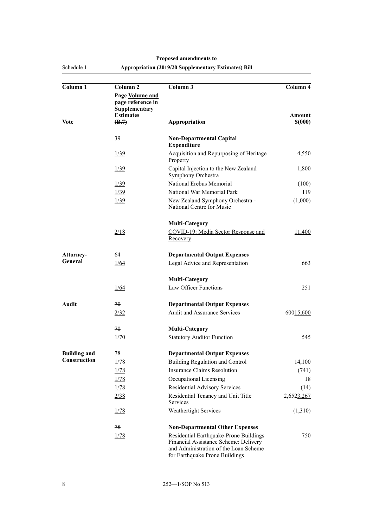| Column 1            | Column <sub>2</sub>                                                       | Column 3                                                                                                                                                   | Column 4   |
|---------------------|---------------------------------------------------------------------------|------------------------------------------------------------------------------------------------------------------------------------------------------------|------------|
|                     | Page-Volume and<br>page reference in<br>Supplementary<br><b>Estimates</b> |                                                                                                                                                            | Amount     |
| Vote                | (B.7)                                                                     | Appropriation                                                                                                                                              | \$(000)    |
|                     | 39                                                                        | <b>Non-Departmental Capital</b><br><b>Expenditure</b>                                                                                                      |            |
|                     | 1/39                                                                      | Acquisition and Repurposing of Heritage<br>Property                                                                                                        | 4,550      |
|                     | 1/39                                                                      | Capital Injection to the New Zealand<br>Symphony Orchestra                                                                                                 | 1,800      |
|                     | $\frac{1}{39}$                                                            | National Erebus Memorial                                                                                                                                   | (100)      |
|                     | 1/39                                                                      | National War Memorial Park                                                                                                                                 | 119        |
|                     | 1/39                                                                      | New Zealand Symphony Orchestra -<br>National Centre for Music                                                                                              | (1,000)    |
|                     |                                                                           | <b>Multi-Category</b>                                                                                                                                      |            |
|                     | 2/18                                                                      | COVID-19: Media Sector Response and<br>Recovery                                                                                                            | 11,400     |
| Attorney-           | 64                                                                        | <b>Departmental Output Expenses</b>                                                                                                                        |            |
| General             | 1/64                                                                      | Legal Advice and Representation                                                                                                                            | 663        |
|                     |                                                                           | <b>Multi-Category</b>                                                                                                                                      |            |
|                     | 1/64                                                                      | Law Officer Functions                                                                                                                                      | 251        |
| Audit               | $70^{\circ}$                                                              | <b>Departmental Output Expenses</b>                                                                                                                        |            |
|                     | 2/32                                                                      | <b>Audit and Assurance Services</b>                                                                                                                        | 60015,600  |
|                     | 70                                                                        | <b>Multi-Category</b>                                                                                                                                      |            |
|                     | 1/70                                                                      | <b>Statutory Auditor Function</b>                                                                                                                          | 545        |
| <b>Building and</b> | 78                                                                        | <b>Departmental Output Expenses</b>                                                                                                                        |            |
| Construction        | 1/78                                                                      | Building Regulation and Control                                                                                                                            | 14,100     |
|                     | 1/78                                                                      | <b>Insurance Claims Resolution</b>                                                                                                                         | (741)      |
|                     | 1/78                                                                      | Occupational Licensing                                                                                                                                     | 18         |
|                     | 1/78                                                                      | <b>Residential Advisory Services</b>                                                                                                                       | (14)       |
|                     | 2/38                                                                      | Residential Tenancy and Unit Title<br>Services                                                                                                             | 2,6523,267 |
|                     | 1/78                                                                      | Weathertight Services                                                                                                                                      | (1,310)    |
|                     | 78                                                                        | <b>Non-Departmental Other Expenses</b>                                                                                                                     |            |
|                     | 1/78                                                                      | Residential Earthquake-Prone Buildings<br>Financial Assistance Scheme: Delivery<br>and Administration of the Loan Scheme<br>for Earthquake Prone Buildings | 750        |

Schedule 1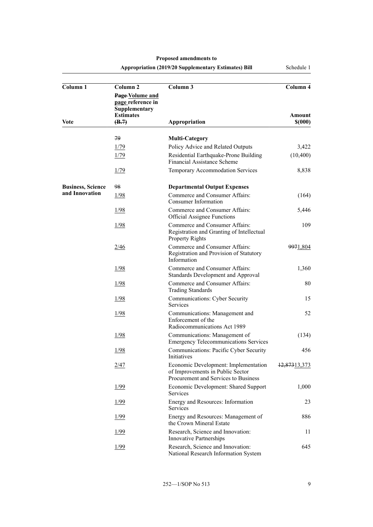| Column 1                 | Column <sub>2</sub>                                                       | Column 3                                                                                                         | Column 4     |
|--------------------------|---------------------------------------------------------------------------|------------------------------------------------------------------------------------------------------------------|--------------|
|                          | Page-Volume and<br>page reference in<br>Supplementary<br><b>Estimates</b> |                                                                                                                  | Amount       |
| Vote                     | (B.7)                                                                     | Appropriation                                                                                                    | \$(000)      |
|                          | 79                                                                        | <b>Multi-Category</b>                                                                                            |              |
|                          | 1/79                                                                      | Policy Advice and Related Outputs                                                                                | 3,422        |
|                          | 1/79                                                                      | Residential Earthquake-Prone Building<br>Financial Assistance Scheme                                             | (10, 400)    |
|                          | 1/79                                                                      | Temporary Accommodation Services                                                                                 | 8,838        |
| <b>Business, Science</b> | 98                                                                        | <b>Departmental Output Expenses</b>                                                                              |              |
| and Innovation           | 1/98                                                                      | Commerce and Consumer Affairs:<br>Consumer Information                                                           | (164)        |
|                          | 1/98                                                                      | Commerce and Consumer Affairs:<br><b>Official Assignee Functions</b>                                             | 5,446        |
|                          | 1/98                                                                      | Commerce and Consumer Affairs:<br>Registration and Granting of Intellectual<br>Property Rights                   | 109          |
|                          | 2/46                                                                      | Commerce and Consumer Affairs:<br>Registration and Provision of Statutory<br>Information                         | 9971,804     |
|                          | 1/98                                                                      | Commerce and Consumer Affairs:<br>Standards Development and Approval                                             | 1,360        |
|                          | 1/98                                                                      | Commerce and Consumer Affairs:<br><b>Trading Standards</b>                                                       | 80           |
|                          | 1/98                                                                      | Communications: Cyber Security<br>Services                                                                       | 15           |
|                          | 1/98                                                                      | Communications: Management and<br>Enforcement of the<br>Radiocommunications Act 1989                             | 52           |
|                          | 1/98                                                                      | Communications: Management of<br><b>Emergency Telecommunications Services</b>                                    | (134)        |
|                          | 1/98                                                                      | Communications: Pacific Cyber Security<br>Initiatives                                                            | 456          |
|                          | 2/47                                                                      | Economic Development: Implementation<br>of Improvements in Public Sector<br>Procurement and Services to Business | 12,87313,373 |
|                          | 1/99                                                                      | Economic Development: Shared Support<br>Services                                                                 | 1,000        |
|                          | 1/99                                                                      | Energy and Resources: Information<br>Services                                                                    | 23           |
|                          | 1/99                                                                      | Energy and Resources: Management of<br>the Crown Mineral Estate                                                  | 886          |
|                          | 1/99                                                                      | Research, Science and Innovation:<br>Innovative Partnerships                                                     | 11           |
|                          | 1/99                                                                      | Research, Science and Innovation:<br>National Research Information System                                        | 645          |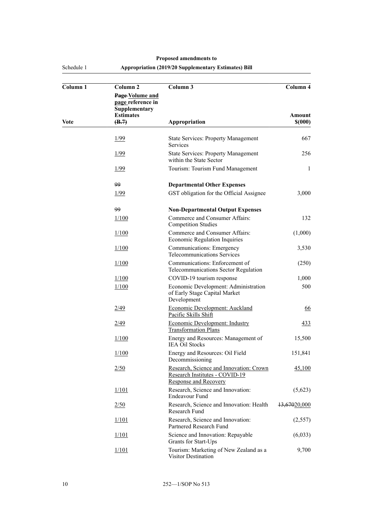Schedule 1

| Column <sub>1</sub> | Column <sub>2</sub><br>Page-Volume and<br>page reference in<br>Supplementary | Column 3                                                                                                  | Column 4          |
|---------------------|------------------------------------------------------------------------------|-----------------------------------------------------------------------------------------------------------|-------------------|
| Vote                | <b>Estimates</b><br>(B.7)                                                    | Appropriation                                                                                             | Amount<br>\$(000) |
|                     | 1/99                                                                         | <b>State Services: Property Management</b><br>Services                                                    | 667               |
|                     | 1/99                                                                         | <b>State Services: Property Management</b><br>within the State Sector                                     | 256               |
|                     | 1/99                                                                         | Tourism: Tourism Fund Management                                                                          | 1                 |
|                     | 99                                                                           | <b>Departmental Other Expenses</b>                                                                        |                   |
|                     | 1/99                                                                         | GST obligation for the Official Assignee                                                                  | 3,000             |
|                     | 99                                                                           | <b>Non-Departmental Output Expenses</b>                                                                   |                   |
|                     | 1/100                                                                        | Commerce and Consumer Affairs:<br><b>Competition Studies</b>                                              | 132               |
|                     | 1/100                                                                        | Commerce and Consumer Affairs:<br><b>Economic Regulation Inquiries</b>                                    | (1,000)           |
|                     | 1/100                                                                        | Communications: Emergency<br><b>Telecommunications Services</b>                                           | 3,530             |
|                     | 1/100                                                                        | Communications: Enforcement of<br>Telecommunications Sector Regulation                                    | (250)             |
|                     | 1/100                                                                        | COVID-19 tourism response                                                                                 | 1,000             |
|                     | 1/100                                                                        | Economic Development: Administration<br>of Early Stage Capital Market<br>Development                      | 500               |
|                     | 2/49                                                                         | Economic Development: Auckland<br>Pacific Skills Shift                                                    | 66                |
|                     | 2/49                                                                         | Economic Development: Industry<br><b>Transformation Plans</b>                                             | 433               |
|                     | 1/100                                                                        | Energy and Resources: Management of<br><b>IEA Oil Stocks</b>                                              | 15,500            |
|                     | 1/100                                                                        | Energy and Resources: Oil Field<br>Decommissioning                                                        | 151,841           |
|                     | 2/50                                                                         | Research, Science and Innovation: Crown<br>Research Institutes - COVID-19<br><b>Response and Recovery</b> | <u>45,100</u>     |
|                     | 1/101                                                                        | Research, Science and Innovation:<br><b>Endeavour Fund</b>                                                | (5,623)           |
|                     | 2/50                                                                         | Research, Science and Innovation: Health<br>Research Fund                                                 | 13,67020,000      |
|                     | 1/101                                                                        | Research, Science and Innovation:<br>Partnered Research Fund                                              | (2,557)           |
|                     | 1/101                                                                        | Science and Innovation: Repayable<br>Grants for Start-Ups                                                 | (6,033)           |
|                     | 1/101                                                                        | Tourism: Marketing of New Zealand as a<br>Visitor Destination                                             | 9,700             |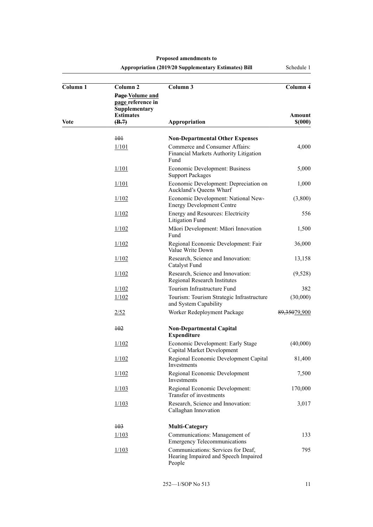| Column <sub>1</sub> | Column <sub>2</sub>                                                       | Column 3                                                                             | Column 4     |
|---------------------|---------------------------------------------------------------------------|--------------------------------------------------------------------------------------|--------------|
|                     | Page-Volume and<br>page reference in<br>Supplementary<br><b>Estimates</b> |                                                                                      | Amount       |
| Vote                | (B.7)                                                                     | Appropriation                                                                        | \$(000)      |
|                     | $+0+$                                                                     |                                                                                      |              |
|                     | 1/101                                                                     | <b>Non-Departmental Other Expenses</b><br>Commerce and Consumer Affairs:             | 4,000        |
|                     |                                                                           | Financial Markets Authority Litigation<br>Fund                                       |              |
|                     | 1/101                                                                     | Economic Development: Business<br><b>Support Packages</b>                            | 5,000        |
|                     | 1/101                                                                     | Economic Development: Depreciation on<br>Auckland's Queens Wharf                     | 1,000        |
|                     | 1/102                                                                     | Economic Development: National New-<br><b>Energy Development Centre</b>              | (3,800)      |
|                     | 1/102                                                                     | Energy and Resources: Electricity<br><b>Litigation Fund</b>                          | 556          |
|                     | 1/102                                                                     | Māori Development: Māori Innovation<br>Fund                                          | 1,500        |
|                     | 1/102                                                                     | Regional Economic Development: Fair<br>Value Write Down                              | 36,000       |
|                     | 1/102                                                                     | Research, Science and Innovation:<br><b>Catalyst Fund</b>                            | 13,158       |
|                     | 1/102                                                                     | Research, Science and Innovation:<br>Regional Research Institutes                    | (9,528)      |
|                     | 1/102                                                                     | Tourism Infrastructure Fund                                                          | 382          |
|                     | 1/102                                                                     | Tourism: Tourism Strategic Infrastructure<br>and System Capability                   | (30,000)     |
|                     | 2/52                                                                      | Worker Redeployment Package                                                          | 89,35079,900 |
|                     | $+02$                                                                     | <b>Non-Departmental Capital</b><br><b>Expenditure</b>                                |              |
|                     | 1/102                                                                     | Economic Development: Early Stage<br>Capital Market Development                      | (40,000)     |
|                     | 1/102                                                                     | Regional Economic Development Capital<br>Investments                                 | 81,400       |
|                     | 1/102                                                                     | Regional Economic Development<br>Investments                                         | 7,500        |
|                     | 1/103                                                                     | Regional Economic Development:<br>Transfer of investments                            | 170,000      |
|                     | 1/103                                                                     | Research, Science and Innovation:<br>Callaghan Innovation                            | 3,017        |
|                     | $\frac{103}{2}$                                                           | <b>Multi-Category</b>                                                                |              |
|                     | 1/103                                                                     | Communications: Management of<br><b>Emergency Telecommunications</b>                 | 133          |
|                     | 1/103                                                                     | Communications: Services for Deaf,<br>Hearing Impaired and Speech Impaired<br>People | 795          |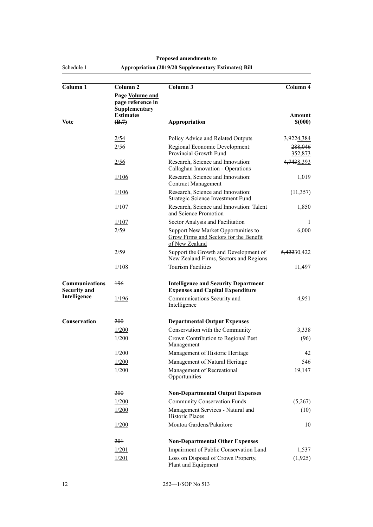Schedule 1

| Column <sub>1</sub>                          | Column <sub>2</sub><br>Page-Volume and                          | Column 3                                                                                               | Column 4           |
|----------------------------------------------|-----------------------------------------------------------------|--------------------------------------------------------------------------------------------------------|--------------------|
| Vote                                         | page reference in<br>Supplementary<br><b>Estimates</b><br>(B.7) | Appropriation                                                                                          | Amount<br>\$(000)  |
|                                              |                                                                 |                                                                                                        |                    |
|                                              | 2/54                                                            | Policy Advice and Related Outputs                                                                      | 3,9224,384         |
|                                              | 2/56                                                            | Regional Economic Development:<br>Provincial Growth Fund                                               | 288,046<br>352,873 |
|                                              | 2/56                                                            | Research, Science and Innovation:<br>Callaghan Innovation - Operations                                 | 4,7438,393         |
|                                              | 1/106                                                           | Research, Science and Innovation:<br><b>Contract Management</b>                                        | 1,019              |
|                                              | 1/106                                                           | Research, Science and Innovation:<br>Strategic Science Investment Fund                                 | (11, 357)          |
|                                              | 1/107                                                           | Research, Science and Innovation: Talent<br>and Science Promotion                                      | 1,850              |
|                                              | 1/107                                                           | Sector Analysis and Facilitation                                                                       | 1                  |
|                                              | 2/59                                                            | <b>Support New Market Opportunities to</b><br>Grow Firms and Sectors for the Benefit<br>of New Zealand | 6,000              |
|                                              | 2/59                                                            | Support the Growth and Development of<br>New Zealand Firms, Sectors and Regions                        | 5,42230,422        |
|                                              | 1/108                                                           | <b>Tourism Facilities</b>                                                                              | 11,497             |
| <b>Communications</b><br><b>Security and</b> | <b>196</b>                                                      | <b>Intelligence and Security Department</b><br><b>Expenses and Capital Expenditure</b>                 |                    |
| Intelligence                                 | 1/196                                                           | Communications Security and<br>Intelligence                                                            | 4,951              |
| <b>Conservation</b>                          | 200                                                             | <b>Departmental Output Expenses</b>                                                                    |                    |
|                                              | 1/200                                                           | Conservation with the Community                                                                        | 3,338              |
|                                              | 1/200                                                           | Crown Contribution to Regional Pest<br>Management                                                      | (96)               |
|                                              | 1/200                                                           | Management of Historic Heritage                                                                        | 42                 |
|                                              | 1/200                                                           | Management of Natural Heritage                                                                         | 546                |
|                                              | 1/200                                                           | Management of Recreational<br>Opportunities                                                            | 19,147             |
|                                              | 200                                                             | <b>Non-Departmental Output Expenses</b>                                                                |                    |
|                                              | 1/200                                                           | <b>Community Conservation Funds</b>                                                                    | (5,267)            |
|                                              | 1/200                                                           | Management Services - Natural and<br>Historic Places                                                   | (10)               |
|                                              | 1/200                                                           | Moutoa Gardens/Pakaitore                                                                               | 10                 |
|                                              | 201                                                             | <b>Non-Departmental Other Expenses</b>                                                                 |                    |
|                                              | 1/201                                                           | Impairment of Public Conservation Land                                                                 | 1,537              |
|                                              | 1/201                                                           | Loss on Disposal of Crown Property,<br>Plant and Equipment                                             | (1,925)            |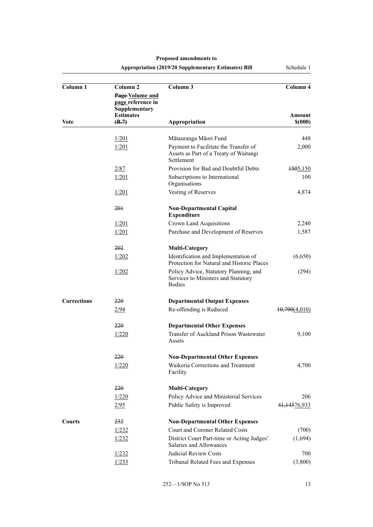| Column 1           | Column <sub>2</sub>                                                       | Column 3                                                                                       | Column 4      |
|--------------------|---------------------------------------------------------------------------|------------------------------------------------------------------------------------------------|---------------|
|                    | Page-Volume and<br>page reference in<br>Supplementary<br><b>Estimates</b> |                                                                                                | Amount        |
| Vote               | (B.7)                                                                     | Appropriation                                                                                  | \$(000)       |
|                    |                                                                           |                                                                                                |               |
|                    | $\frac{1}{201}$                                                           | Mātauranga Māori Fund                                                                          | 448           |
|                    | 1/201                                                                     | Payment to Facilitate the Transfer of<br>Assets as Part of a Treaty of Waitangi<br>Settlement  | 2,000         |
|                    | 2/87                                                                      | Provision for Bad and Doubtful Debts                                                           | 1505,150      |
|                    | 1/201                                                                     | Subscriptions to International<br>Organisations                                                | 100           |
|                    | 1/201                                                                     | Vesting of Reserves                                                                            | 4,874         |
|                    | 201                                                                       | <b>Non-Departmental Capital</b><br><b>Expenditure</b>                                          |               |
|                    | 1/201                                                                     | Crown Land Acquisitions                                                                        | 2,240         |
|                    | 1/201                                                                     | Purchase and Development of Reserves                                                           | 1,587         |
|                    | 202                                                                       | <b>Multi-Category</b>                                                                          |               |
|                    | 1/202                                                                     | Identification and Implementation of<br>Protection for Natural and Historic Places             | (6,650)       |
|                    | 1/202                                                                     | Policy Advice, Statutory Planning, and<br>Services to Ministers and Statutory<br><b>Bodies</b> | (294)         |
| <b>Corrections</b> | 220                                                                       | <b>Departmental Output Expenses</b>                                                            |               |
|                    | 2/94                                                                      | Re-offending is Reduced                                                                        | 10,700(4,010) |
|                    | 220                                                                       | <b>Departmental Other Expenses</b>                                                             |               |
|                    | 1/220                                                                     | Transfer of Auckland Prison Wastewater<br>Assets                                               | 9,100         |
|                    | 220                                                                       | <b>Non-Departmental Other Expenses</b>                                                         |               |
|                    | 1/220                                                                     | Waikeria Corrections and Treatment<br>Facility                                                 | 4,700         |
|                    | 220                                                                       | <b>Multi-Category</b>                                                                          |               |
|                    | 1/220                                                                     | Policy Advice and Ministerial Services                                                         | 206           |
|                    | 2/95                                                                      | Public Safety is Improved                                                                      | 41,14576,933  |
| <b>Courts</b>      | 232                                                                       | <b>Non-Departmental Other Expenses</b>                                                         |               |
|                    | 1/232                                                                     | Court and Coroner Related Costs                                                                | (700)         |
|                    | 1/232                                                                     | District Court Part-time or Acting Judges'<br>Salaries and Allowances                          | (1,694)       |
|                    | 1/232                                                                     | <b>Judicial Review Costs</b>                                                                   | 700           |
|                    | 1/233                                                                     | Tribunal Related Fees and Expenses                                                             | (3,800)       |

## **Appropriation (2019/20 Supplementary Estimates) Bill** Schedule 1

252—1/SOP No 513 13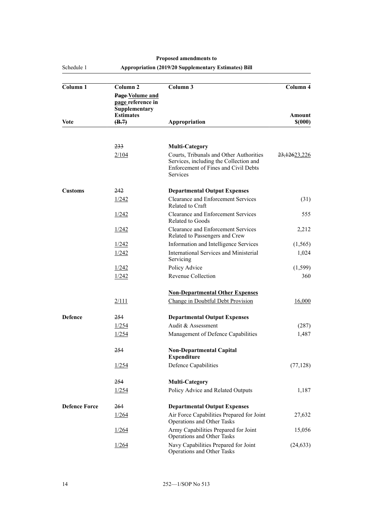| Column 1             | Column <sub>2</sub>                                                       | Column 3                                                                                                                              | Column 4                 |
|----------------------|---------------------------------------------------------------------------|---------------------------------------------------------------------------------------------------------------------------------------|--------------------------|
|                      | Page-Volume and<br>page reference in<br>Supplementary<br><b>Estimates</b> |                                                                                                                                       |                          |
| Vote                 | (B.7)                                                                     | Appropriation                                                                                                                         | Amount<br>\$(000)        |
|                      |                                                                           |                                                                                                                                       |                          |
|                      | 233                                                                       | <b>Multi-Category</b>                                                                                                                 |                          |
|                      | 2/104                                                                     | Courts, Tribunals and Other Authorities<br>Services, including the Collection and<br>Enforcement of Fines and Civil Debts<br>Services | <del>23,126</del> 23,226 |
| <b>Customs</b>       | 242                                                                       | <b>Departmental Output Expenses</b>                                                                                                   |                          |
|                      | 1/242                                                                     | <b>Clearance and Enforcement Services</b><br>Related to Craft                                                                         | (31)                     |
|                      | 1/242                                                                     | <b>Clearance and Enforcement Services</b><br>Related to Goods                                                                         | 555                      |
|                      | 1/242                                                                     | Clearance and Enforcement Services<br>Related to Passengers and Crew                                                                  | 2,212                    |
|                      | 1/242                                                                     | Information and Intelligence Services                                                                                                 | (1, 565)                 |
|                      | 1/242                                                                     | <b>International Services and Ministerial</b><br>Servicing                                                                            | 1,024                    |
|                      | 1/242                                                                     | Policy Advice                                                                                                                         | (1, 599)                 |
|                      | 1/242                                                                     | Revenue Collection                                                                                                                    | 360                      |
|                      |                                                                           | <b>Non-Departmental Other Expenses</b>                                                                                                |                          |
|                      | 2/111                                                                     | Change in Doubtful Debt Provision                                                                                                     | 16,000                   |
| <b>Defence</b>       | 254                                                                       | <b>Departmental Output Expenses</b>                                                                                                   |                          |
|                      | 1/254                                                                     | Audit & Assessment                                                                                                                    | (287)                    |
|                      | 1/254                                                                     | Management of Defence Capabilities                                                                                                    | 1,487                    |
|                      | 254                                                                       | <b>Non-Departmental Capital</b><br><b>Expenditure</b>                                                                                 |                          |
|                      | 1/254                                                                     | <b>Defence Capabilities</b>                                                                                                           | (77, 128)                |
|                      | 254                                                                       | <b>Multi-Category</b>                                                                                                                 |                          |
|                      | 1/254                                                                     | Policy Advice and Related Outputs                                                                                                     | 1,187                    |
| <b>Defence Force</b> | 264                                                                       | <b>Departmental Output Expenses</b>                                                                                                   |                          |
|                      | 1/264                                                                     | Air Force Capabilities Prepared for Joint<br>Operations and Other Tasks                                                               | 27,632                   |
|                      | 1/264                                                                     | Army Capabilities Prepared for Joint<br>Operations and Other Tasks                                                                    | 15,056                   |
|                      | 1/264                                                                     | Navy Capabilities Prepared for Joint<br>Operations and Other Tasks                                                                    | (24, 633)                |

Schedule 1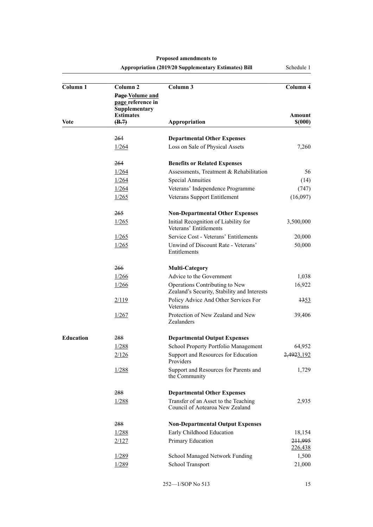| Column 1  | Column <sub>2</sub>                                                       | Column 3                                                                      | Column 4         |
|-----------|---------------------------------------------------------------------------|-------------------------------------------------------------------------------|------------------|
|           | Page-Volume and<br>page reference in<br>Supplementary<br><b>Estimates</b> |                                                                               | Amount           |
| Vote      | (B.7)                                                                     | Appropriation                                                                 | \$(000)          |
|           | 264                                                                       | <b>Departmental Other Expenses</b>                                            |                  |
|           | 1/264                                                                     | Loss on Sale of Physical Assets                                               | 7,260            |
|           |                                                                           |                                                                               |                  |
|           | 264                                                                       | <b>Benefits or Related Expenses</b>                                           |                  |
|           | 1/264                                                                     | Assessments, Treatment & Rehabilitation                                       | 56               |
|           | 1/264                                                                     | <b>Special Annuities</b>                                                      | (14)             |
|           | 1/264                                                                     | Veterans' Independence Programme                                              | (747)            |
|           | 1/265                                                                     | Veterans Support Entitlement                                                  | (16,097)         |
|           | 265                                                                       | <b>Non-Departmental Other Expenses</b>                                        |                  |
|           | 1/265                                                                     | Initial Recognition of Liability for<br>Veterans' Entitlements                | 3,500,000        |
|           | $\frac{1}{265}$                                                           | Service Cost - Veterans' Entitlements                                         | 20,000           |
|           | 1/265                                                                     | Unwind of Discount Rate - Veterans'<br>Entitlements                           | 50,000           |
|           | <del>266</del>                                                            | <b>Multi-Category</b>                                                         |                  |
|           | 1/266                                                                     | Advice to the Government                                                      | 1,038            |
|           | 1/266                                                                     | Operations Contributing to New<br>Zealand's Security, Stability and Interests | 16,922           |
|           | $\frac{2/119}{2}$                                                         | Policy Advice And Other Services For<br>Veterans                              | $\frac{1353}{2}$ |
|           | 1/267                                                                     | Protection of New Zealand and New<br>Zealanders                               | 39,406           |
| Education | 288                                                                       | <b>Departmental Output Expenses</b>                                           |                  |
|           | 1/288                                                                     | School Property Portfolio Management                                          | 64,952           |
|           | 2/126                                                                     | Support and Resources for Education<br>Providers                              | 2,4923,192       |
|           | 1/288                                                                     | Support and Resources for Parents and<br>the Community                        | 1,729            |
|           | 288                                                                       | <b>Departmental Other Expenses</b>                                            |                  |
|           | 1/288                                                                     | Transfer of an Asset to the Teaching<br>Council of Aotearoa New Zealand       | 2,935            |
|           | 288                                                                       | <b>Non-Departmental Output Expenses</b>                                       |                  |
|           | 1/288                                                                     | Early Childhood Education                                                     | 18,154           |
|           | 2/127                                                                     | Primary Education                                                             | 211,995          |
|           |                                                                           |                                                                               | 226,438          |
|           | 1/289                                                                     | School Managed Network Funding                                                | 1,500            |
|           | 1/289                                                                     | School Transport                                                              | 21,000           |
|           |                                                                           |                                                                               |                  |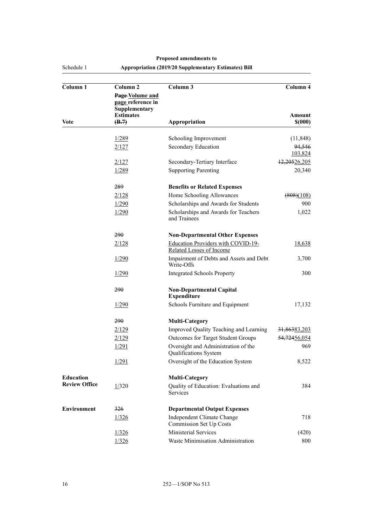Schedule 1

| Column <sub>1</sub>  | Column <sub>2</sub>                                   | Column 3                                                       | Column 4          |
|----------------------|-------------------------------------------------------|----------------------------------------------------------------|-------------------|
|                      | Page-Volume and<br>page reference in<br>Supplementary |                                                                |                   |
| Vote                 | <b>Estimates</b><br>(B.7)                             | Appropriation                                                  | Amount<br>\$(000) |
|                      |                                                       |                                                                |                   |
|                      | 1/289                                                 | Schooling Improvement                                          | (11, 848)         |
|                      | 2/127                                                 | Secondary Education                                            | 94,546<br>103,824 |
|                      | 2/127                                                 | Secondary-Tertiary Interface                                   | 12,20526,205      |
|                      | 1/289                                                 | <b>Supporting Parenting</b>                                    | 20,340            |
|                      | 289                                                   | <b>Benefits or Related Expenses</b>                            |                   |
|                      | 2/128                                                 | Home Schooling Allowances                                      | (808)(108)        |
|                      | 1/290                                                 | Scholarships and Awards for Students                           | 900               |
|                      | 1/290                                                 | Scholarships and Awards for Teachers<br>and Trainees           | 1,022             |
|                      | 290                                                   | <b>Non-Departmental Other Expenses</b>                         |                   |
|                      | 2/128                                                 | Education Providers with COVID-19-<br>Related Losses of Income | 18,638            |
|                      | 1/290                                                 | Impairment of Debts and Assets and Debt<br>Write-Offs          | 3,700             |
|                      | 1/290                                                 | <b>Integrated Schools Property</b>                             | 300               |
|                      | 290                                                   | <b>Non-Departmental Capital</b><br><b>Expenditure</b>          |                   |
|                      | 1/290                                                 | Schools Furniture and Equipment                                | 17,132            |
|                      | 290                                                   | <b>Multi-Category</b>                                          |                   |
|                      | 2/129                                                 | Improved Quality Teaching and Learning                         | 31,86383,203      |
|                      | 2/129                                                 | Outcomes for Target Student Groups                             | 54,72456,054      |
|                      | 1/291                                                 | Oversight and Administration of the<br>Qualifications System   | 969               |
|                      | 1/291                                                 | Oversight of the Education System                              | 8,522             |
| <b>Education</b>     |                                                       | <b>Multi-Category</b>                                          |                   |
| <b>Review Office</b> | 1/320                                                 | Quality of Education: Evaluations and<br>Services              | 384               |
| <b>Environment</b>   | 326                                                   | <b>Departmental Output Expenses</b>                            |                   |
|                      | 1/326                                                 | <b>Independent Climate Change</b><br>Commission Set Up Costs   | 718               |
|                      | 1/326                                                 | <b>Ministerial Services</b>                                    | (420)             |
|                      | 1/326                                                 | Waste Minimisation Administration                              | 800               |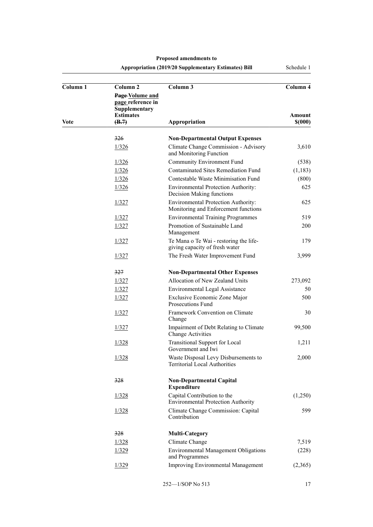| Column 1 | Column <sub>2</sub>                                                       | Column 3                                                                           | Column 4 |
|----------|---------------------------------------------------------------------------|------------------------------------------------------------------------------------|----------|
|          | Page-Volume and<br>page reference in<br>Supplementary<br><b>Estimates</b> |                                                                                    | Amount   |
| Vote     | (B.7)                                                                     | Appropriation                                                                      | \$(000)  |
|          |                                                                           |                                                                                    |          |
|          | 326                                                                       | <b>Non-Departmental Output Expenses</b>                                            |          |
|          | 1/326                                                                     | Climate Change Commission - Advisory<br>and Monitoring Function                    | 3,610    |
|          | 1/326                                                                     | <b>Community Environment Fund</b>                                                  | (538)    |
|          | 1/326                                                                     | <b>Contaminated Sites Remediation Fund</b>                                         | (1, 183) |
|          | 1/326                                                                     | Contestable Waste Minimisation Fund                                                | (800)    |
|          | 1/326                                                                     | Environmental Protection Authority:<br>Decision Making functions                   | 625      |
|          | 1/327                                                                     | <b>Environmental Protection Authority:</b><br>Monitoring and Enforcement functions | 625      |
|          | 1/327                                                                     | <b>Environmental Training Programmes</b>                                           | 519      |
|          | 1/327                                                                     | Promotion of Sustainable Land<br>Management                                        | 200      |
|          | 1/327                                                                     | Te Mana o Te Wai - restoring the life-<br>giving capacity of fresh water           | 179      |
|          | 1/327                                                                     | The Fresh Water Improvement Fund                                                   | 3,999    |
|          | 327                                                                       | <b>Non-Departmental Other Expenses</b>                                             |          |
|          | 1/327                                                                     | Allocation of New Zealand Units                                                    | 273,092  |
|          | 1/327                                                                     | Environmental Legal Assistance                                                     | 50       |
|          | 1/327                                                                     | Exclusive Economic Zone Major<br><b>Prosecutions Fund</b>                          | 500      |
|          | 1/327                                                                     | Framework Convention on Climate<br>Change                                          | 30       |
|          | 1/327                                                                     | Impairment of Debt Relating to Climate<br><b>Change Activities</b>                 | 99,500   |
|          | 1/328                                                                     | <b>Transitional Support for Local</b><br>Government and Iwi                        | 1,211    |
|          | 1/328                                                                     | Waste Disposal Levy Disbursements to<br><b>Territorial Local Authorities</b>       | 2,000    |
|          | 328                                                                       | <b>Non-Departmental Capital</b><br><b>Expenditure</b>                              |          |
|          | 1/328                                                                     | Capital Contribution to the<br><b>Environmental Protection Authority</b>           | (1,250)  |
|          | 1/328                                                                     | Climate Change Commission: Capital<br>Contribution                                 | 599      |
|          | 328                                                                       | <b>Multi-Category</b>                                                              |          |
|          | 1/328                                                                     | Climate Change                                                                     | 7,519    |
|          | 1/329                                                                     | <b>Environmental Management Obligations</b><br>and Programmes                      | (228)    |
|          | 1/329                                                                     | <b>Improving Environmental Management</b>                                          | (2,365)  |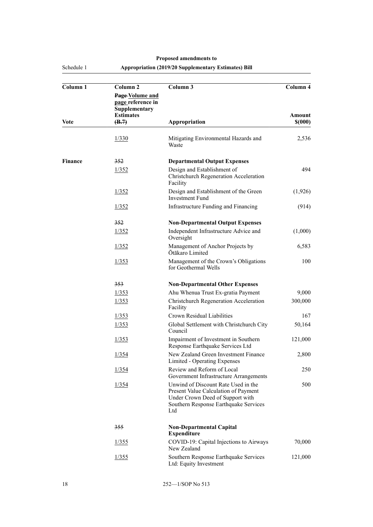Schedule 1

### **Appropriation (2019/20 Supplementary Estimates) Bill**

| Column 1       | Column <sub>2</sub><br>Page-Volume and<br>page reference in | Column 3                                                                                                                                                        | Column 4          |
|----------------|-------------------------------------------------------------|-----------------------------------------------------------------------------------------------------------------------------------------------------------------|-------------------|
| Vote           | Supplementary<br><b>Estimates</b><br>( <b>B.7</b> )         | Appropriation                                                                                                                                                   | Amount<br>\$(000) |
|                | 1/330                                                       | Mitigating Environmental Hazards and<br>Waste                                                                                                                   | 2,536             |
| <b>Finance</b> | 352                                                         | <b>Departmental Output Expenses</b>                                                                                                                             |                   |
|                | $\frac{1}{352}$                                             | Design and Establishment of<br><b>Christchurch Regeneration Acceleration</b><br>Facility                                                                        | 494               |
|                | $\frac{1}{352}$                                             | Design and Establishment of the Green<br><b>Investment Fund</b>                                                                                                 | (1,926)           |
|                | $\frac{1}{352}$                                             | Infrastructure Funding and Financing                                                                                                                            | (914)             |
|                | 352                                                         | <b>Non-Departmental Output Expenses</b>                                                                                                                         |                   |
|                | 1/352                                                       | Independent Infrastructure Advice and<br>Oversight                                                                                                              | (1,000)           |
|                | $\frac{1}{352}$                                             | Management of Anchor Projects by<br>Ōtākaro Limited                                                                                                             | 6,583             |
|                | 1/353                                                       | Management of the Crown's Obligations<br>for Geothermal Wells                                                                                                   | 100               |
|                | $353 -$                                                     | <b>Non-Departmental Other Expenses</b>                                                                                                                          |                   |
|                | 1/353                                                       | Ahu Whenua Trust Ex-gratia Payment                                                                                                                              | 9,000             |
|                | $\frac{1}{353}$                                             | <b>Christchurch Regeneration Acceleration</b><br>Facility                                                                                                       | 300,000           |
|                | 1/353                                                       | Crown Residual Liabilities                                                                                                                                      | 167               |
|                | 1/353                                                       | Global Settlement with Christchurch City<br>Council                                                                                                             | 50,164            |
|                | 1/353                                                       | Impairment of Investment in Southern<br>Response Earthquake Services Ltd                                                                                        | 121,000           |
|                | 1/354                                                       | New Zealand Green Investment Finance<br>Limited - Operating Expenses                                                                                            | 2,800             |
|                | 1/354                                                       | Review and Reform of Local<br>Government Infrastructure Arrangements                                                                                            | 250               |
|                | 1/354                                                       | Unwind of Discount Rate Used in the<br>Present Value Calculation of Payment<br>Under Crown Deed of Support with<br>Southern Response Earthquake Services<br>Ltd | 500               |
|                | 355                                                         | <b>Non-Departmental Capital</b><br><b>Expenditure</b>                                                                                                           |                   |
|                | $\frac{1}{355}$                                             | COVID-19: Capital Injections to Airways<br>New Zealand                                                                                                          | 70,000            |
|                | 1/355                                                       | Southern Response Earthquake Services<br>Ltd: Equity Investment                                                                                                 | 121,000           |

18 252—1/SOP No 513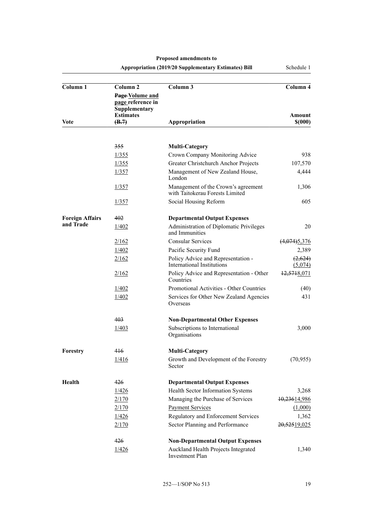| <b>Appropriation (2019/20 Supplementary Estimates) Bill</b> |                                                                                                  |                                                                        | Schedule 1                  |
|-------------------------------------------------------------|--------------------------------------------------------------------------------------------------|------------------------------------------------------------------------|-----------------------------|
| Column <sub>1</sub>                                         | Column <sub>2</sub><br>Page-Volume and<br>page reference in<br>Supplementary<br><b>Estimates</b> | Column 3                                                               | Column 4<br>Amount          |
| Vote                                                        | (B.7)                                                                                            | Appropriation                                                          | \$(000)                     |
|                                                             |                                                                                                  |                                                                        |                             |
|                                                             | 355                                                                                              | <b>Multi-Category</b>                                                  |                             |
|                                                             | $\frac{1}{355}$                                                                                  | Crown Company Monitoring Advice                                        | 938                         |
|                                                             | 1/355                                                                                            | Greater Christchurch Anchor Projects                                   | 107,570                     |
|                                                             | $\frac{1}{357}$                                                                                  | Management of New Zealand House,<br>London                             | 4,444                       |
|                                                             | $\frac{1}{357}$                                                                                  | Management of the Crown's agreement<br>with Taitokerau Forests Limited | 1,306                       |
|                                                             | 1/357                                                                                            | Social Housing Reform                                                  | 605                         |
| <b>Foreign Affairs</b>                                      | 402                                                                                              | <b>Departmental Output Expenses</b>                                    |                             |
| and Trade                                                   | 1/402                                                                                            | Administration of Diplomatic Privileges<br>and Immunities              | 20                          |
|                                                             | 2/162                                                                                            | <b>Consular Services</b>                                               | $(4,074)$ <sup>5</sup> ,376 |
|                                                             | 1/402                                                                                            | Pacific Security Fund                                                  | 2,389                       |
|                                                             | 2/162                                                                                            | Policy Advice and Representation -<br>International Institutions       | (2,624)<br>(5,074)          |
|                                                             | 2/162                                                                                            | Policy Advice and Representation - Other<br>Countries                  | 12,5718,071                 |
|                                                             | 1/402                                                                                            | Promotional Activities - Other Countries                               | (40)                        |
|                                                             | 1/402                                                                                            | Services for Other New Zealand Agencies<br>Overseas                    | 431                         |
|                                                             | 403                                                                                              | <b>Non-Departmental Other Expenses</b>                                 |                             |
|                                                             | 1/403                                                                                            | Subscriptions to International<br>Organisations                        | 3,000                       |
| Forestry                                                    | 416                                                                                              | <b>Multi-Category</b>                                                  |                             |
|                                                             | 1/416                                                                                            | Growth and Development of the Forestry<br>Sector                       | (70, 955)                   |
| Health                                                      | 426                                                                                              | <b>Departmental Output Expenses</b>                                    |                             |
|                                                             | 1/426                                                                                            | Health Sector Information Systems                                      | 3,268                       |
|                                                             | 2/170                                                                                            | Managing the Purchase of Services                                      | 10,23614,986                |
|                                                             | 2/170                                                                                            | <b>Payment Services</b>                                                | (1,000)                     |
|                                                             | 1/426                                                                                            | Regulatory and Enforcement Services                                    | 1,362                       |
|                                                             | 2/170                                                                                            | Sector Planning and Performance                                        | 20,52519,025                |
|                                                             | 426                                                                                              | <b>Non-Departmental Output Expenses</b>                                |                             |
|                                                             | 1/426                                                                                            | Auckland Health Projects Integrated<br><b>Investment Plan</b>          | 1,340                       |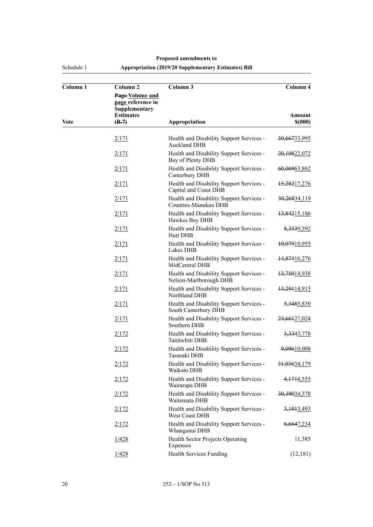Schedule 1

| Column <sub>1</sub> | Column <sub>2</sub><br>Page-Volume and<br>page reference in | Column 3                                                           | Column 4                 |
|---------------------|-------------------------------------------------------------|--------------------------------------------------------------------|--------------------------|
| Vote                | Supplementary<br><b>Estimates</b><br>(B.7)                  | Appropriation                                                      | Amount<br>\$(000)        |
|                     | 2/171                                                       | Health and Disability Support Services -<br><b>Auckland DHB</b>    | <del>30,667</del> 33,995 |
|                     | 2/171                                                       | Health and Disability Support Services -<br>Bay of Plenty DHB      | 20,10822,072             |
|                     | 2/171                                                       | Health and Disability Support Services -<br>Canterbury DHB         | 60,06963,862             |
|                     | 2/171                                                       | Health and Disability Support Services -<br>Capital and Coast DHB  | 15,28217,276             |
|                     | 2/171                                                       | Health and Disability Support Services -<br>Counties-Manukau DHB   | 30,26834,119             |
|                     | 2/171                                                       | Health and Disability Support Services -<br>Hawkes Bay DHB         | 13,84215,186             |
|                     | 2/171                                                       | Health and Disability Support Services -<br><b>Hutt DHB</b>        | 8,3539,392               |
|                     | 2/171                                                       | Health and Disability Support Services -<br>Lakes DHB              | 10,07910,955             |
|                     | 2/171                                                       | Health and Disability Support Services -<br>MidCentral DHB         | 14,87416,276             |
|                     | 2/171                                                       | Health and Disability Support Services -<br>Nelson-Marlborough DHB | <del>13,750</del> 14,938 |
|                     | 2/171                                                       | Health and Disability Support Services -<br>Northland DHB          | 13,29114,915             |
|                     | 2/171                                                       | Health and Disability Support Services -<br>South Canterbury DHB   | 5,3485,839               |
|                     | 2/171                                                       | Health and Disability Support Services -<br>Southern DHB           | 24,66127,024             |
|                     | 2/172                                                       | Health and Disability Support Services -<br>Tairāwhiti DHB         | 3,3343,778               |
|                     | 2/172                                                       | Health and Disability Support Services -<br>Taranaki DHB           | 9,09610,008              |
|                     | 2/172                                                       | Health and Disability Support Services -<br>Waikato DHB            | 31,03634,179             |
|                     | 2/172                                                       | Health and Disability Support Services -<br>Wairarapa DHB          | 4,1714,555               |
|                     | 2/172                                                       | Health and Disability Support Services -<br>Waitemata DHB          | 30,39034,378             |
|                     | 2/172                                                       | Health and Disability Support Services -<br>West Coast DHB         | 3,1913,493               |
|                     | 2/172                                                       | Health and Disability Support Services -<br>Whanganui DHB          | 6,6647,234               |
|                     | 1/428                                                       | Health Sector Projects Operating<br>Expenses                       | 11,385                   |
|                     | 1/428                                                       | <b>Health Services Funding</b>                                     | (12, 181)                |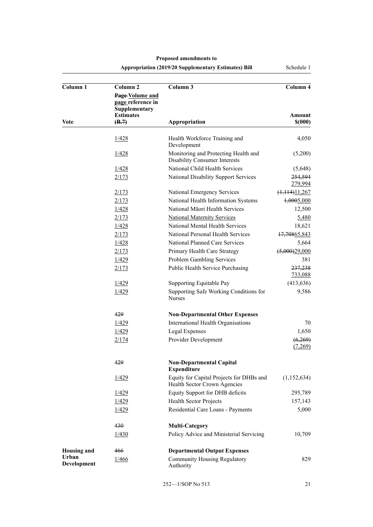| Column 1             | Column <sub>2</sub>                                                       | Column 3                                                                     | Column 4           |
|----------------------|---------------------------------------------------------------------------|------------------------------------------------------------------------------|--------------------|
|                      | Page-Volume and<br>page reference in<br>Supplementary<br><b>Estimates</b> |                                                                              | Amount             |
| <b>Vote</b>          | (B.7)                                                                     | Appropriation                                                                | \$(000)            |
|                      |                                                                           |                                                                              |                    |
|                      | 1/428                                                                     | Health Workforce Training and<br>Development                                 | 4,050              |
|                      | 1/428                                                                     | Monitoring and Protecting Health and<br><b>Disability Consumer Interests</b> | (5,200)            |
|                      | 1/428                                                                     | National Child Health Services                                               | (5,648)            |
|                      | 2/173                                                                     | National Disability Support Services                                         | 254,594<br>279,994 |
|                      | 2/173                                                                     | National Emergency Services                                                  | (1,114)11,267      |
|                      | 2/173                                                                     | National Health Information Systems                                          | 1,0005,000         |
|                      | 1/428                                                                     | National Māori Health Services                                               | 12,500             |
|                      | 2/173                                                                     | <b>National Maternity Services</b>                                           | 5,480              |
|                      | 1/428                                                                     | National Mental Health Services                                              | 18,621             |
|                      | 2/173                                                                     | National Personal Health Services                                            | 17,70865,843       |
|                      | 1/428                                                                     | National Planned Care Services                                               | 5,664              |
|                      | 2/173                                                                     | Primary Health Care Strategy                                                 | (5,000)29,000      |
|                      | $\frac{1}{429}$                                                           | Problem Gambling Services                                                    | 381                |
|                      | 2/173                                                                     | Public Health Service Purchasing                                             | 237,238<br>733,088 |
|                      | 1/429                                                                     | Supporting Equitable Pay                                                     | (413, 636)         |
|                      | 1/429                                                                     | Supporting Safe Working Conditions for<br><b>Nurses</b>                      | 9,586              |
|                      | 429                                                                       | <b>Non-Departmental Other Expenses</b>                                       |                    |
|                      | 1/429                                                                     | International Health Organisations                                           | 70                 |
|                      | 1/429                                                                     | Legal Expenses                                                               | 1,650              |
|                      | <u>2/174</u>                                                              | Provider Development                                                         | (6,269)<br>(7,269) |
|                      | 429                                                                       | <b>Non-Departmental Capital</b><br><b>Expenditure</b>                        |                    |
|                      | 1/429                                                                     | Equity for Capital Projects for DHBs and<br>Health Sector Crown Agencies     | (1, 152, 634)      |
|                      | 1/429                                                                     | Equity Support for DHB deficits                                              | 295,789            |
|                      | 1/429                                                                     | Health Sector Projects                                                       | 157,143            |
|                      | 1/429                                                                     | Residential Care Loans - Payments                                            | 5,000              |
|                      | 430                                                                       | <b>Multi-Category</b>                                                        |                    |
|                      | 1/430                                                                     | Policy Advice and Ministerial Servicing                                      | 10,709             |
| <b>Housing and</b>   | 466                                                                       | <b>Departmental Output Expenses</b>                                          |                    |
| Urban<br>Development | 1/466                                                                     | <b>Community Housing Regulatory</b><br>Authority                             | 829                |

### **Appropriation (2019/20 Supplementary Estimates) Bill** Schedule 1

252—1/SOP No 513 21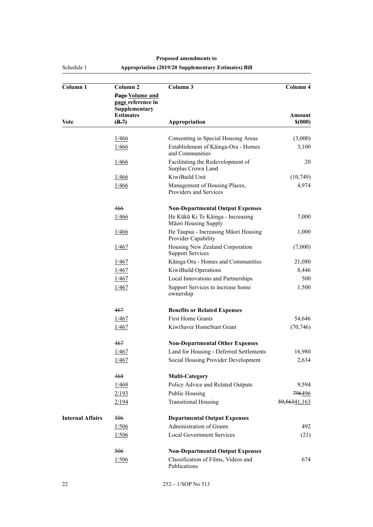Schedule 1

| Column 1                | Column <sub>2</sub>                                   | Column 3                                                    | Column 4          |
|-------------------------|-------------------------------------------------------|-------------------------------------------------------------|-------------------|
|                         | Page-Volume and<br>page reference in<br>Supplementary |                                                             |                   |
| Vote                    | <b>Estimates</b><br>(B.7)                             | Appropriation                                               | Amount<br>\$(000) |
|                         | 1/466                                                 | Consenting in Special Housing Areas                         | (3,000)           |
|                         | 1/466                                                 | Establishment of Kāinga-Ora - Homes<br>and Communities      | 3,100             |
|                         | 1/466                                                 | Facilitating the Redevelopment of<br>Surplus Crown Land     | 20                |
|                         | 1/466                                                 | KiwiBuild Unit                                              | (10,749)          |
|                         | 1/466                                                 | Management of Housing Places,<br>Providers and Services     | 4,974             |
|                         | 466                                                   | <b>Non-Departmental Output Expenses</b>                     |                   |
|                         | 1/466                                                 | He Kūkū Ki Te Kāinga - Increasing<br>Māori Housing Supply   | 7,000             |
|                         | 1/466                                                 | He Taupua - Increasing Māori Housing<br>Provider Capability | 1,000             |
|                         | 1/467                                                 | Housing New Zealand Corporation<br><b>Support Services</b>  | (7,000)           |
|                         | 1/467                                                 | Kāinga Ora - Homes and Communities                          | 21,080            |
|                         | 1/467                                                 | KiwiBuild Operations                                        | 8,446             |
|                         | 1/467                                                 | Local Innovations and Partnerships                          | 500               |
|                         | 1/467                                                 | Support Services to increase home<br>ownership              | 1,500             |
|                         | 467                                                   | <b>Benefits or Related Expenses</b>                         |                   |
|                         | 1/467                                                 | <b>First Home Grants</b>                                    | 54,646            |
|                         | 1/467                                                 | KiwiSaver HomeStart Grant                                   | (70, 746)         |
|                         | 467                                                   | <b>Non-Departmental Other Expenses</b>                      |                   |
|                         | 1/467                                                 | Land for Housing - Deferred Settlements                     | 16,980            |
|                         | 1/467                                                 | Social Housing Provider Development                         | 2,634             |
|                         | 468                                                   | <b>Multi-Category</b>                                       |                   |
|                         | 1/468                                                 | Policy Advice and Related Outputs                           | 9,594             |
|                         | 2/193                                                 | <b>Public Housing</b>                                       | 796496            |
|                         | 2/194                                                 | <b>Transitional Housing</b>                                 | 59,56341,163      |
| <b>Internal Affairs</b> | 506                                                   | <b>Departmental Output Expenses</b>                         |                   |
|                         | 1/506                                                 | Administration of Grants                                    | 492               |
|                         | 1/506                                                 | <b>Local Government Services</b>                            | (21)              |
|                         | 506                                                   | <b>Non-Departmental Output Expenses</b>                     |                   |
|                         | 1/506                                                 | Classification of Films, Videos and<br>Publications         | 674               |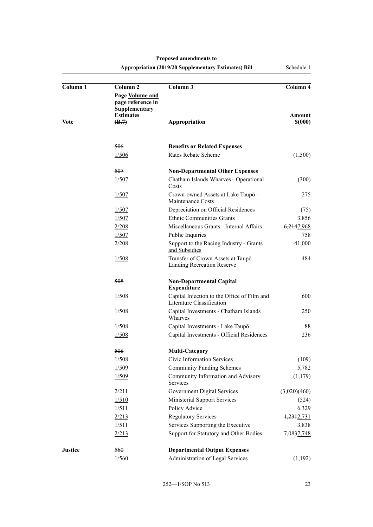| <b>Appropriation (2019/20 Supplementary Estimates) Bill</b> |                                                                                    |                                                                          | Schedule 1        |  |
|-------------------------------------------------------------|------------------------------------------------------------------------------------|--------------------------------------------------------------------------|-------------------|--|
| Column <sub>1</sub>                                         | Column <sub>2</sub>                                                                | Column 3                                                                 | Column 4          |  |
| Vote                                                        | Page-Volume and<br>page reference in<br>Supplementary<br><b>Estimates</b><br>(B.7) | Appropriation                                                            | Amount<br>\$(000) |  |
|                                                             |                                                                                    |                                                                          |                   |  |
|                                                             | 506                                                                                | <b>Benefits or Related Expenses</b>                                      |                   |  |
|                                                             | 1/506                                                                              | Rates Rebate Scheme                                                      | (1,500)           |  |
|                                                             | 507                                                                                | <b>Non-Departmental Other Expenses</b>                                   |                   |  |
|                                                             | 1/507                                                                              | Chatham Islands Wharves - Operational<br>Costs                           | (300)             |  |
|                                                             | 1/507                                                                              | Crown-owned Assets at Lake Taupō -<br>Maintenance Costs                  | 275               |  |
|                                                             | 1/507                                                                              | Depreciation on Official Residences                                      | (75)              |  |
|                                                             | 1/507                                                                              | <b>Ethnic Communities Grants</b>                                         | 3,856             |  |
|                                                             | 2/208                                                                              | Miscellaneous Grants - Internal Affairs                                  | 6,2147,968        |  |
|                                                             | 1/507                                                                              | Public Inquiries                                                         | 758               |  |
|                                                             | 2/208                                                                              | <b>Support to the Racing Industry - Grants</b><br>and Subsidies          | 41,000            |  |
|                                                             | 1/508                                                                              | Transfer of Crown Assets at Taupō<br>Landing Recreation Reserve          | 484               |  |
|                                                             | 508                                                                                | <b>Non-Departmental Capital</b><br><b>Expenditure</b>                    |                   |  |
|                                                             | 1/508                                                                              | Capital Injection to the Office of Film and<br>Literature Classification | 600               |  |
|                                                             | 1/508                                                                              | Capital Investments - Chatham Islands<br>Wharves                         | 250               |  |
|                                                             | 1/508                                                                              | Capital Investments - Lake Taupō                                         | 88                |  |
|                                                             | $\frac{1}{508}$                                                                    | Capital Investments - Official Residences                                | 236               |  |
|                                                             | 508                                                                                | <b>Multi-Category</b>                                                    |                   |  |
|                                                             | 1/508                                                                              | Civic Information Services                                               | (109)             |  |
|                                                             | 1/509                                                                              | <b>Community Funding Schemes</b>                                         | 5,782             |  |
|                                                             | 1/509                                                                              | Community Information and Advisory<br>Services                           | (1,179)           |  |
|                                                             | 2/211                                                                              | Government Digital Services                                              | (3,020)(460)      |  |
|                                                             | 1/510                                                                              | Ministerial Support Services                                             | (524)             |  |
|                                                             | 1/511                                                                              | Policy Advice                                                            | 6,329             |  |
|                                                             | 2/213                                                                              | <b>Regulatory Services</b>                                               | 1,2312,731        |  |
|                                                             | 1/511                                                                              | Services Supporting the Executive                                        | 3,838             |  |
|                                                             | 2/213                                                                              | Support for Statutory and Other Bodies                                   | 7,0837,748        |  |
| <b>Justice</b>                                              | 560                                                                                | <b>Departmental Output Expenses</b>                                      |                   |  |
|                                                             | 1/560                                                                              | Administration of Legal Services                                         | (1,192)           |  |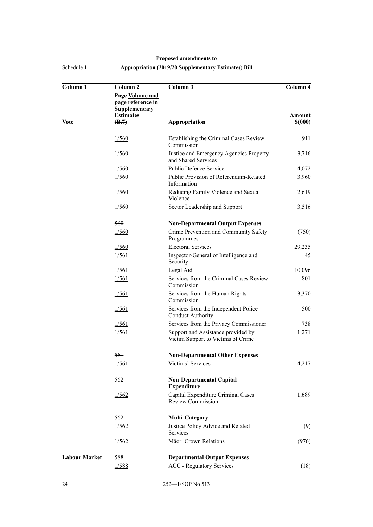Schedule 1

| Column <sub>1</sub>  | Column <sub>2</sub>                                   | Column 3                                                                 | Column 4          |
|----------------------|-------------------------------------------------------|--------------------------------------------------------------------------|-------------------|
|                      | Page-Volume and<br>page reference in<br>Supplementary |                                                                          |                   |
| Vote                 | <b>Estimates</b><br>(B.7)                             | Appropriation                                                            | Amount<br>\$(000) |
|                      |                                                       |                                                                          |                   |
|                      | $\frac{1}{560}$                                       | Establishing the Criminal Cases Review<br>Commission                     | 911               |
|                      | $\frac{1}{560}$                                       | Justice and Emergency Agencies Property<br>and Shared Services           | 3,716             |
|                      | $\frac{1}{560}$                                       | <b>Public Defence Service</b>                                            | 4,072             |
|                      | 1/560                                                 | Public Provision of Referendum-Related<br>Information                    | 3,960             |
|                      | $\frac{1}{560}$                                       | Reducing Family Violence and Sexual<br>Violence                          | 2,619             |
|                      | $\frac{1}{560}$                                       | Sector Leadership and Support                                            | 3,516             |
|                      | 560                                                   | <b>Non-Departmental Output Expenses</b>                                  |                   |
|                      | 1/560                                                 | Crime Prevention and Community Safety<br>Programmes                      | (750)             |
|                      | 1/560                                                 | <b>Electoral Services</b>                                                | 29,235            |
|                      | 1/561                                                 | Inspector-General of Intelligence and<br>Security                        | 45                |
|                      | 1/561                                                 | Legal Aid                                                                | 10,096            |
|                      | 1/561                                                 | Services from the Criminal Cases Review<br>Commission                    | 801               |
|                      | $\frac{1}{561}$                                       | Services from the Human Rights<br>Commission                             | 3,370             |
|                      | $\frac{1}{561}$                                       | Services from the Independent Police<br><b>Conduct Authority</b>         | 500               |
|                      | $\frac{1}{561}$                                       | Services from the Privacy Commissioner                                   | 738               |
|                      | 1/561                                                 | Support and Assistance provided by<br>Victim Support to Victims of Crime | 1,271             |
|                      | 561                                                   | <b>Non-Departmental Other Expenses</b>                                   |                   |
|                      | 1/561                                                 | Victims' Services                                                        | 4,217             |
|                      | 562                                                   | <b>Non-Departmental Capital</b><br><b>Expenditure</b>                    |                   |
|                      | 1/562                                                 | Capital Expenditure Criminal Cases<br>Review Commission                  | 1,689             |
|                      | 562                                                   | <b>Multi-Category</b>                                                    |                   |
|                      | 1/562                                                 | Justice Policy Advice and Related<br>Services                            | (9)               |
|                      | 1/562                                                 | Māori Crown Relations                                                    | (976)             |
| <b>Labour Market</b> | 588                                                   | <b>Departmental Output Expenses</b>                                      |                   |
|                      | 1/588                                                 | <b>ACC</b> - Regulatory Services                                         | (18)              |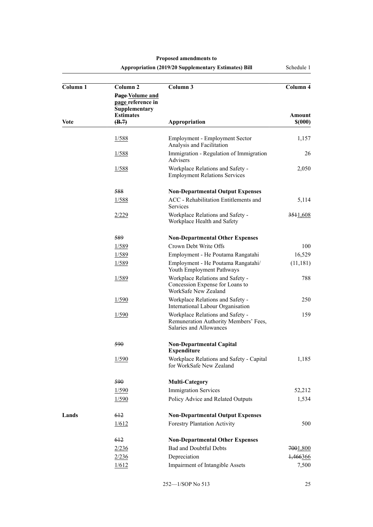| Column 1 | Column <sub>2</sub>                                                       | Column 3                                                                                             | Column 4            |
|----------|---------------------------------------------------------------------------|------------------------------------------------------------------------------------------------------|---------------------|
|          | Page-Volume and<br>page reference in<br>Supplementary<br><b>Estimates</b> |                                                                                                      | Amount              |
| Vote     | ( <b>B.7</b> )                                                            | Appropriation                                                                                        | $$^{(000)}$         |
|          | 1/588                                                                     | <b>Employment - Employment Sector</b><br>Analysis and Facilitation                                   | 1,157               |
|          | <u>1/588</u>                                                              | Immigration - Regulation of Immigration<br>Advisers                                                  | 26                  |
|          | <u>1/588</u>                                                              | Workplace Relations and Safety -<br><b>Employment Relations Services</b>                             | 2,050               |
|          | 588                                                                       | <b>Non-Departmental Output Expenses</b>                                                              |                     |
|          | <u>1/588</u>                                                              | ACC - Rehabilitation Entitlements and<br>Services                                                    | 5,114               |
|          | 2/229                                                                     | Workplace Relations and Safety -<br>Workplace Health and Safety                                      | 3511,608            |
|          | 589                                                                       | <b>Non-Departmental Other Expenses</b>                                                               |                     |
|          | 1/589                                                                     | Crown Debt Write Offs                                                                                | 100                 |
|          | <u>1/589</u>                                                              | Employment - He Poutama Rangatahi                                                                    | 16,529              |
|          | <u>1/589</u>                                                              | Employment - He Poutama Rangatahi/<br>Youth Employment Pathways                                      | (11, 181)           |
|          | 1/589                                                                     | Workplace Relations and Safety -<br>Concession Expense for Loans to<br>WorkSafe New Zealand          | 788                 |
|          | 1/590                                                                     | Workplace Relations and Safety -<br>International Labour Organisation                                | 250                 |
|          | 1/590                                                                     | Workplace Relations and Safety -<br>Remuneration Authority Members' Fees,<br>Salaries and Allowances | 159                 |
|          | 590                                                                       | <b>Non-Departmental Capital</b><br><b>Expenditure</b>                                                |                     |
|          | 1/590                                                                     | Workplace Relations and Safety - Capital<br>for WorkSafe New Zealand                                 | 1,185               |
|          | 590                                                                       | <b>Multi-Category</b>                                                                                |                     |
|          | 1/590                                                                     | <b>Immigration Services</b>                                                                          | 52,212              |
|          | 1/590                                                                     | Policy Advice and Related Outputs                                                                    | 1,534               |
| Lands    | 612                                                                       | <b>Non-Departmental Output Expenses</b>                                                              |                     |
|          | 1/612                                                                     | <b>Forestry Plantation Activity</b>                                                                  | 500                 |
|          | 612                                                                       | <b>Non-Departmental Other Expenses</b>                                                               |                     |
|          | 2/236                                                                     | <b>Bad and Doubtful Debts</b>                                                                        | 7001,800            |
|          | 2/236                                                                     | Depreciation                                                                                         | <del>1,466366</del> |
|          | 1/612                                                                     | Impairment of Intangible Assets                                                                      | 7,500               |
|          |                                                                           |                                                                                                      |                     |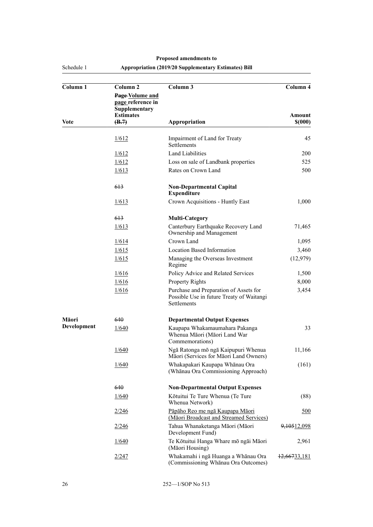Schedule 1

| Column 1           | Column <sub>2</sub>                                   | Column 3                                                                                           | Column 4          |
|--------------------|-------------------------------------------------------|----------------------------------------------------------------------------------------------------|-------------------|
|                    | Page-Volume and<br>page reference in<br>Supplementary |                                                                                                    |                   |
| <b>Vote</b>        | <b>Estimates</b><br>(B.7)                             | Appropriation                                                                                      | Amount<br>\$(000) |
|                    | 1/612                                                 | Impairment of Land for Treaty<br>Settlements                                                       | 45                |
|                    | 1/612                                                 | Land Liabilities                                                                                   | 200               |
|                    | 1/612                                                 | Loss on sale of Landbank properties                                                                | 525               |
|                    | 1/613                                                 | Rates on Crown Land                                                                                | 500               |
|                    | 613                                                   | <b>Non-Departmental Capital</b><br><b>Expenditure</b>                                              |                   |
|                    | $\frac{1}{613}$                                       | Crown Acquisitions - Huntly East                                                                   | 1,000             |
|                    | 613                                                   | <b>Multi-Category</b>                                                                              |                   |
|                    | 1/613                                                 | Canterbury Earthquake Recovery Land<br>Ownership and Management                                    | 71,465            |
|                    | 1/614                                                 | Crown Land                                                                                         | 1,095             |
|                    | 1/615                                                 | <b>Location Based Information</b>                                                                  | 3,460             |
|                    | 1/615                                                 | Managing the Overseas Investment<br>Regime                                                         | (12,979)          |
|                    | 1/616                                                 | Policy Advice and Related Services                                                                 | 1,500             |
|                    | 1/616                                                 | Property Rights                                                                                    | 8,000             |
|                    | 1/616                                                 | Purchase and Preparation of Assets for<br>Possible Use in future Treaty of Waitangi<br>Settlements | 3,454             |
| Māori              | 640                                                   | <b>Departmental Output Expenses</b>                                                                |                   |
| <b>Development</b> | 1/640                                                 | Kaupapa Whakamaumahara Pakanga<br>Whenua Māori (Māori Land War<br>Commemorations)                  | 33                |
|                    | 1/640                                                 | Ngā Ratonga mō ngā Kaipupuri Whenua<br>Māori (Services for Māori Land Owners)                      | 11,166            |
|                    | 1/640                                                 | Whakapakari Kaupapa Whānau Ora<br>(Whānau Ora Commissioning Approach)                              | (161)             |
|                    | 640                                                   | <b>Non-Departmental Output Expenses</b>                                                            |                   |
|                    | 1/640                                                 | Kōtuitui Te Ture Whenua (Te Ture<br>Whenua Network)                                                | (88)              |
|                    | 2/246                                                 | Pāpāho Reo me ngā Kaupapa Māori<br>(Māori Broadcast and Streamed Services)                         | <u>500</u>        |
|                    | 2/246                                                 | Tahua Whanaketanga Māori (Māori<br>Development Fund)                                               | 9,10512,098       |
|                    | 1/640                                                 | Te Kōtuitui Hanga Whare mō ngāi Māori<br>(Māori Housing)                                           | 2,961             |
|                    | 2/247                                                 | Whakamahi i ngā Huanga a Whānau Ora<br>(Commissioning Whanau Ora Outcomes)                         | 12,66733,181      |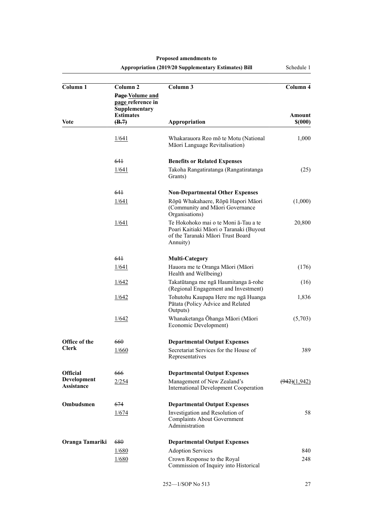|                           |                                                                              | <b>Appropriation (2019/20 Supplementary Estimates) Bill</b>                                                                      | Schedule 1        |
|---------------------------|------------------------------------------------------------------------------|----------------------------------------------------------------------------------------------------------------------------------|-------------------|
| Column <sub>1</sub>       | Column <sub>2</sub><br>Page-Volume and<br>page reference in<br>Supplementary | Column 3                                                                                                                         | Column 4          |
| <b>Vote</b>               | <b>Estimates</b><br>( <b>B.7</b> )                                           | Appropriation                                                                                                                    | Amount<br>\$(000) |
|                           | 1/641                                                                        | Whakarauora Reo mō te Motu (National<br>Māori Language Revitalisation)                                                           | 1,000             |
|                           | 641                                                                          | <b>Benefits or Related Expenses</b>                                                                                              |                   |
|                           | 1/641                                                                        | Takoha Rangatiratanga (Rangatiratanga<br>Grants)                                                                                 | (25)              |
|                           | 641                                                                          | <b>Non-Departmental Other Expenses</b>                                                                                           |                   |
|                           | 1/641                                                                        | Rōpū Whakahaere, Rōpū Hapori Māori<br>(Community and Māori Governance<br>Organisations)                                          | (1,000)           |
|                           | 1/641                                                                        | Te Hokohoko mai o te Moni ā-Tau a te<br>Poari Kaitiaki Māori o Taranaki (Buyout<br>of the Taranaki Māori Trust Board<br>Annuity) | 20,800            |
|                           | 641                                                                          | <b>Multi-Category</b>                                                                                                            |                   |
|                           | 1/641                                                                        | Hauora me te Oranga Māori (Māori<br>Health and Wellbeing)                                                                        | (176)             |
|                           | 1/642                                                                        | Takatūtanga me ngā Haumitanga ā-rohe<br>(Regional Engagement and Investment)                                                     | (16)              |
|                           | 1/642                                                                        | Tohutohu Kaupapa Here me ngā Huanga<br>Pātata (Policy Advice and Related<br>Outputs)                                             | 1,836             |
|                           | 1/642                                                                        | Whanaketanga Ōhanga Māori (Māori<br>Economic Development)                                                                        | (5,703)           |
| Office of the             | 660                                                                          | <b>Departmental Output Expenses</b>                                                                                              |                   |
| <b>Clerk</b>              | 1/660                                                                        | Secretariat Services for the House of<br>Representatives                                                                         | 389               |
| <b>Official</b>           | 666                                                                          | <b>Departmental Output Expenses</b>                                                                                              |                   |
| Development<br>Assistance | 2/254                                                                        | Management of New Zealand's<br><b>International Development Cooperation</b>                                                      | (942)(1,942)      |
| Ombudsmen                 | 674                                                                          | <b>Departmental Output Expenses</b>                                                                                              |                   |
|                           | 1/674                                                                        | Investigation and Resolution of<br><b>Complaints About Government</b><br>Administration                                          | 58                |
| Oranga Tamariki           | 680                                                                          | <b>Departmental Output Expenses</b>                                                                                              |                   |
|                           | 1/680                                                                        | <b>Adoption Services</b>                                                                                                         | 840               |
|                           | 1/680                                                                        | Crown Response to the Royal<br>Commission of Inquiry into Historical                                                             | 248               |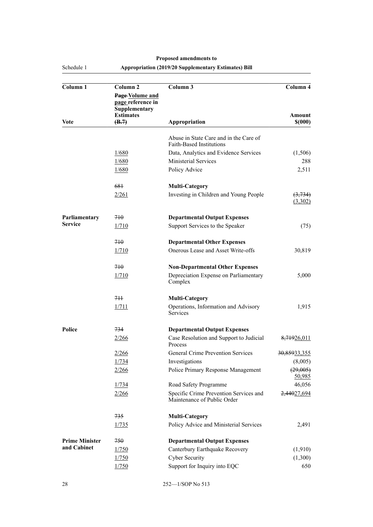| Column 1              | Column <sub>2</sub>                                                       | Column 3                                                                  | Column 4           |
|-----------------------|---------------------------------------------------------------------------|---------------------------------------------------------------------------|--------------------|
|                       | Page-Volume and<br>page reference in<br>Supplementary<br><b>Estimates</b> |                                                                           | Amount             |
| Vote                  | (B.7)                                                                     | Appropriation                                                             | \$(000)            |
|                       |                                                                           | Abuse in State Care and in the Care of<br><b>Faith-Based Institutions</b> |                    |
|                       | 1/680                                                                     | Data, Analytics and Evidence Services                                     | (1,506)            |
|                       | 1/680                                                                     | <b>Ministerial Services</b>                                               | 288                |
|                       | 1/680                                                                     | Policy Advice                                                             | 2,511              |
|                       | 681                                                                       | <b>Multi-Category</b>                                                     |                    |
|                       | 2/261                                                                     | Investing in Children and Young People                                    | (3,734)<br>(3,302) |
| Parliamentary         | 710                                                                       | <b>Departmental Output Expenses</b>                                       |                    |
| <b>Service</b>        | 1/710                                                                     | Support Services to the Speaker                                           | (75)               |
|                       | 710                                                                       | <b>Departmental Other Expenses</b>                                        |                    |
|                       | $\frac{1}{710}$                                                           | Onerous Lease and Asset Write-offs                                        | 30,819             |
|                       | 710                                                                       | <b>Non-Departmental Other Expenses</b>                                    |                    |
|                       | 1/710                                                                     | Depreciation Expense on Parliamentary<br>Complex                          | 5,000              |
|                       | 711                                                                       | <b>Multi-Category</b>                                                     |                    |
|                       | $\frac{1/711}{2}$                                                         | Operations, Information and Advisory<br>Services                          | 1,915              |
| Police                | 734                                                                       | <b>Departmental Output Expenses</b>                                       |                    |
|                       | 2/266                                                                     | Case Resolution and Support to Judicial<br>Process                        | 8,71926,011        |
|                       | 2/266                                                                     | General Crime Prevention Services                                         | 30,85933,355       |
|                       | 1/734                                                                     | Investigations                                                            | (8,005)            |
|                       | 2/266                                                                     | Police Primary Response Management                                        | (29,005)<br>50,985 |
|                       | 1/734                                                                     | Road Safety Programme                                                     | 46,056             |
|                       | 2/266                                                                     | Specific Crime Prevention Services and<br>Maintenance of Public Order     | 2,44027,694        |
|                       | 735                                                                       | <b>Multi-Category</b>                                                     |                    |
|                       | 1/735                                                                     | Policy Advice and Ministerial Services                                    | 2,491              |
| <b>Prime Minister</b> | 750                                                                       | <b>Departmental Output Expenses</b>                                       |                    |
| and Cabinet           | $\frac{1/750}{2}$                                                         | Canterbury Earthquake Recovery                                            | (1,910)            |
|                       | 1/750                                                                     | Cyber Security                                                            | (1,300)            |
|                       | 1/750                                                                     | Support for Inquiry into EQC                                              | 650                |

Schedule 1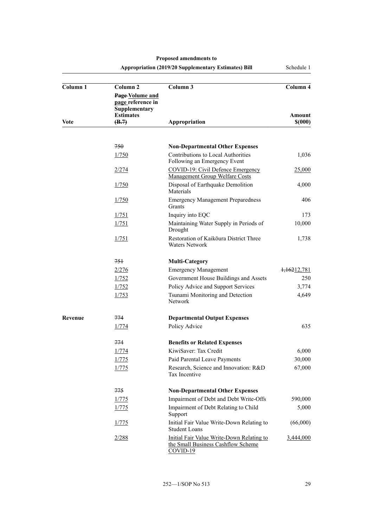| Column <sub>1</sub> | Column <sub>2</sub>                                                       | Column 3                                                                                      | Column 4                |
|---------------------|---------------------------------------------------------------------------|-----------------------------------------------------------------------------------------------|-------------------------|
|                     | Page-Volume and<br>page reference in<br>Supplementary<br><b>Estimates</b> |                                                                                               | Amount                  |
| Vote                | ( <b>B.7</b> )                                                            | Appropriation                                                                                 | \$(000)                 |
|                     |                                                                           |                                                                                               |                         |
|                     | 750                                                                       | <b>Non-Departmental Other Expenses</b>                                                        |                         |
|                     | 1/750                                                                     | Contributions to Local Authorities<br>Following an Emergency Event                            | 1,036                   |
|                     | 2/274                                                                     | <b>COVID-19: Civil Defence Emergency</b><br><b>Management Group Welfare Costs</b>             | 25,000                  |
|                     | $\frac{1/750}{2}$                                                         | Disposal of Earthquake Demolition<br>Materials                                                | 4,000                   |
|                     | $\frac{1/750}{2}$                                                         | <b>Emergency Management Preparedness</b><br>Grants                                            | 406                     |
|                     | $\frac{1/751}{2}$                                                         | Inquiry into EQC                                                                              | 173                     |
|                     | $\frac{1/751}{2}$                                                         | Maintaining Water Supply in Periods of<br>Drought                                             | 10,000                  |
|                     | $\frac{1/751}{2}$                                                         | Restoration of Kaikōura District Three<br><b>Waters Network</b>                               | 1,738                   |
|                     | 751                                                                       | <b>Multi-Category</b>                                                                         |                         |
|                     | 2/276                                                                     | <b>Emergency Management</b>                                                                   | <del>1,162</del> 12,781 |
|                     | 1/752                                                                     | Government House Buildings and Assets                                                         | 250                     |
|                     | 1/752                                                                     | Policy Advice and Support Services                                                            | 3,774                   |
|                     | 1/753                                                                     | Tsunami Monitoring and Detection<br>Network                                                   | 4,649                   |
| Revenue             | 774                                                                       | <b>Departmental Output Expenses</b>                                                           |                         |
|                     | 1/774                                                                     | Policy Advice                                                                                 | 635                     |
|                     | 774                                                                       | <b>Benefits or Related Expenses</b>                                                           |                         |
|                     | 1/774                                                                     | KiwiSaver: Tax Credit                                                                         | 6,000                   |
|                     | 1/775                                                                     | Paid Parental Leave Payments                                                                  | 30,000                  |
|                     | 1/775                                                                     | Research, Science and Innovation: R&D<br>Tax Incentive                                        | 67,000                  |
|                     | 775                                                                       | <b>Non-Departmental Other Expenses</b>                                                        |                         |
|                     | 1/775                                                                     | Impairment of Debt and Debt Write-Offs                                                        | 590,000                 |
|                     | <u>1/775</u>                                                              | Impairment of Debt Relating to Child<br>Support                                               | 5,000                   |
|                     | 1/775                                                                     | Initial Fair Value Write-Down Relating to<br><b>Student Loans</b>                             | (66,000)                |
|                     | 2/288                                                                     | Initial Fair Value Write-Down Relating to<br>the Small Business Cashflow Scheme<br>$COVID-19$ | 3,444,000               |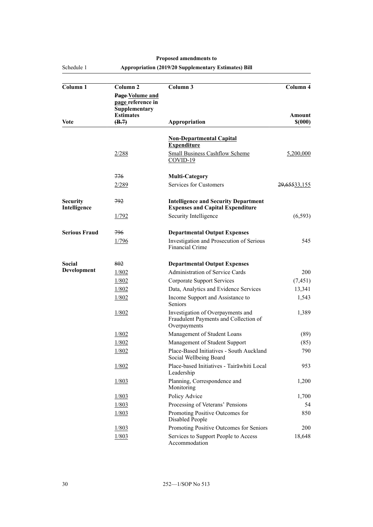| Column <sub>1</sub>             | Column <sub>2</sub>                                                       | Column 3                                                                                   | Column 4     |
|---------------------------------|---------------------------------------------------------------------------|--------------------------------------------------------------------------------------------|--------------|
|                                 | Page-Volume and<br>page reference in<br>Supplementary<br><b>Estimates</b> |                                                                                            | Amount       |
| Vote                            | (B.7)                                                                     | Appropriation                                                                              | \$(000)      |
|                                 |                                                                           |                                                                                            |              |
|                                 |                                                                           | <b>Non-Departmental Capital</b><br><b>Expenditure</b>                                      |              |
|                                 | 2/288                                                                     | <b>Small Business Cashflow Scheme</b><br>$COVID-19$                                        | 5,200,000    |
|                                 | 776                                                                       | <b>Multi-Category</b>                                                                      |              |
|                                 | 2/289                                                                     | Services for Customers                                                                     | 29,65533,155 |
| <b>Security</b><br>Intelligence | 792                                                                       | <b>Intelligence and Security Department</b><br><b>Expenses and Capital Expenditure</b>     |              |
|                                 | 1/792                                                                     | Security Intelligence                                                                      | (6, 593)     |
| <b>Serious Fraud</b>            | 796                                                                       | <b>Departmental Output Expenses</b>                                                        |              |
|                                 | 1/796                                                                     | Investigation and Prosecution of Serious<br><b>Financial Crime</b>                         | 545          |
| Social                          | 802                                                                       | <b>Departmental Output Expenses</b>                                                        |              |
| Development                     | 1/802                                                                     | Administration of Service Cards                                                            | 200          |
|                                 | 1/802                                                                     | <b>Corporate Support Services</b>                                                          | (7, 451)     |
|                                 | 1/802                                                                     | Data, Analytics and Evidence Services                                                      | 13,341       |
|                                 | 1/802                                                                     | Income Support and Assistance to<br><b>Seniors</b>                                         | 1,543        |
|                                 | 1/802                                                                     | Investigation of Overpayments and<br>Fraudulent Payments and Collection of<br>Overpayments | 1,389        |
|                                 | 1/802                                                                     | Management of Student Loans                                                                | (89)         |
|                                 | 1/802                                                                     | Management of Student Support                                                              | (85)         |
|                                 | 1/802                                                                     | Place-Based Initiatives - South Auckland<br>Social Wellbeing Board                         | 790          |
|                                 | 1/802                                                                     | Place-based Initiatives - Tairāwhiti Local<br>Leadership                                   | 953          |
|                                 | 1/803                                                                     | Planning, Correspondence and<br>Monitoring                                                 | 1,200        |
|                                 | 1/803                                                                     | Policy Advice                                                                              | 1,700        |
|                                 | 1/803                                                                     | Processing of Veterans' Pensions                                                           | 54           |
|                                 | 1/803                                                                     | Promoting Positive Outcomes for<br>Disabled People                                         | 850          |
|                                 | 1/803                                                                     | Promoting Positive Outcomes for Seniors                                                    | 200          |
|                                 | 1/803                                                                     | Services to Support People to Access<br>Accommodation                                      | 18,648       |

#### **Proposed amendments to Appropriation (2019/20 Supplementary Estimates) Bill**

Schedule 1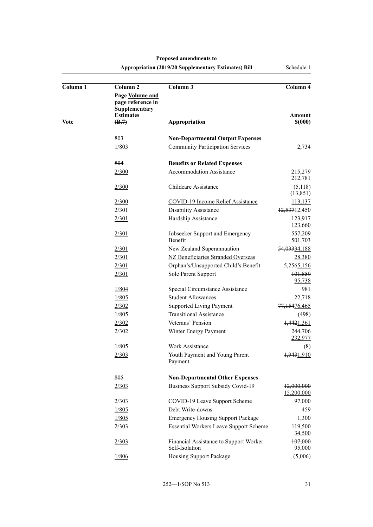| Column 1 | Column <sub>2</sub>                                                                | Column 3                                                 | Column 4                 |
|----------|------------------------------------------------------------------------------------|----------------------------------------------------------|--------------------------|
| Vote     | Page-Volume and<br>page reference in<br>Supplementary<br><b>Estimates</b><br>(B.7) | Appropriation                                            | Amount<br>\$(000)        |
|          |                                                                                    |                                                          |                          |
|          | 803                                                                                | <b>Non-Departmental Output Expenses</b>                  |                          |
|          | 1/803                                                                              | <b>Community Participation Services</b>                  | 2,734                    |
|          | 804                                                                                | <b>Benefits or Related Expenses</b>                      |                          |
|          | 2/300                                                                              | <b>Accommodation Assistance</b>                          | 215,279<br>212,781       |
|          | $\frac{2/300}{2}$                                                                  | Childcare Assistance                                     | (5,118)<br>(13, 851)     |
|          | $\frac{2}{300}$                                                                    | <b>COVID-19 Income Relief Assistance</b>                 | 113,137                  |
|          | 2/301                                                                              | Disability Assistance                                    | 12,53712,450             |
|          | $\frac{2/301}{2}$                                                                  | Hardship Assistance                                      | 123,917<br>123,660       |
|          | 2/301                                                                              | Jobseeker Support and Emergency<br>Benefit               | 557,209<br>501,703       |
|          | 2/301                                                                              | New Zealand Superannuation                               | 54,03334,188             |
|          | 2/301                                                                              | NZ Beneficiaries Stranded Overseas                       | 28,380                   |
|          | 2/301                                                                              | Orphan's/Unsupported Child's Benefit                     | 5,2565,156               |
|          | 2/301                                                                              | Sole Parent Support                                      | 101,859<br>95,738        |
|          | 1/804                                                                              | Special Circumstance Assistance                          | 981                      |
|          | 1/805                                                                              | <b>Student Allowances</b>                                | 22,718                   |
|          | 2/302                                                                              | <b>Supported Living Payment</b>                          | 77,15476,465             |
|          | 1/805                                                                              | <b>Transitional Assistance</b>                           | (498)                    |
|          | 2/302                                                                              | Veterans' Pension                                        | 1,4421,361               |
|          | 2/302                                                                              | Winter Energy Payment                                    | 244,706<br>232,977       |
|          | 1/805                                                                              | Work Assistance                                          | (8)                      |
|          | 2/303                                                                              | Youth Payment and Young Parent<br>Payment                | 1,9431,910               |
|          | 805                                                                                | <b>Non-Departmental Other Expenses</b>                   |                          |
|          | 2/303                                                                              | <b>Business Support Subsidy Covid-19</b>                 | 12,000,000<br>15,200,000 |
|          | 2/303                                                                              | <b>COVID-19 Leave Support Scheme</b>                     | 97,000                   |
|          | 1/805                                                                              | Debt Write-downs                                         | 459                      |
|          | 1/805                                                                              | <b>Emergency Housing Support Package</b>                 | 1,300                    |
|          | 2/303                                                                              | <b>Essential Workers Leave Support Scheme</b>            | 119,500<br>34,500        |
|          | 2/303                                                                              | Financial Assistance to Support Worker<br>Self-Isolation | 107,000<br>95,000        |
|          | 1/806                                                                              | Housing Support Package                                  | (5,006)                  |
|          |                                                                                    |                                                          |                          |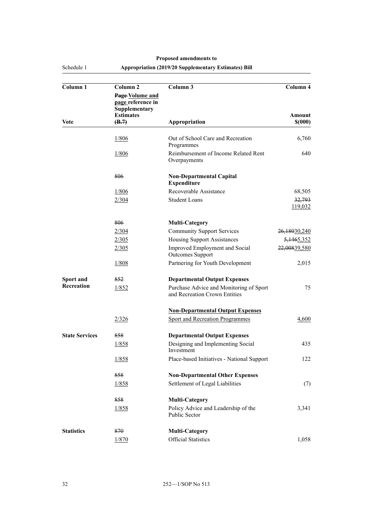| Column 1              | Column <sub>2</sub>                                                       | Column 3                                                                 | Column 4          |
|-----------------------|---------------------------------------------------------------------------|--------------------------------------------------------------------------|-------------------|
|                       | Page-Volume and<br>page reference in<br>Supplementary<br><b>Estimates</b> |                                                                          | Amount            |
| Vote                  | (B.7)                                                                     | Appropriation                                                            | \$(000)           |
|                       |                                                                           |                                                                          |                   |
|                       | 1/806                                                                     | Out of School Care and Recreation<br>Programmes                          | 6,760             |
|                       | 1/806                                                                     | Reimbursement of Income Related Rent<br>Overpayments                     | 640               |
|                       | 806                                                                       | <b>Non-Departmental Capital</b><br><b>Expenditure</b>                    |                   |
|                       | 1/806                                                                     | Recoverable Assistance                                                   | 68,505            |
|                       | 2/304                                                                     | <b>Student Loans</b>                                                     | 32,793<br>119,032 |
|                       | 806                                                                       | <b>Multi-Category</b>                                                    |                   |
|                       | 2/304                                                                     | <b>Community Support Services</b>                                        | 26,18030,240      |
|                       | 2/305                                                                     | Housing Support Assistances                                              | 5, 1465, 352      |
|                       | 2/305                                                                     | Improved Employment and Social<br><b>Outcomes Support</b>                | 22,00839,580      |
|                       | 1/808                                                                     | Partnering for Youth Development                                         | 2,015             |
| Sport and             | 852                                                                       | <b>Departmental Output Expenses</b>                                      |                   |
| Recreation            | 1/852                                                                     | Purchase Advice and Monitoring of Sport<br>and Recreation Crown Entities | 75                |
|                       |                                                                           | <b>Non-Departmental Output Expenses</b>                                  |                   |
|                       | 2/326                                                                     | <b>Sport and Recreation Programmes</b>                                   | 4,600             |
| <b>State Services</b> | 858                                                                       | <b>Departmental Output Expenses</b>                                      |                   |
|                       | 1/858                                                                     | Designing and Implementing Social<br>Investment                          | 435               |
|                       | 1/858                                                                     | Place-based Initiatives - National Support                               | 122               |
|                       | 858                                                                       | <b>Non-Departmental Other Expenses</b>                                   |                   |
|                       | 1/858                                                                     | Settlement of Legal Liabilities                                          | (7)               |
|                       | 858                                                                       | <b>Multi-Category</b>                                                    |                   |
|                       | 1/858                                                                     | Policy Advice and Leadership of the<br>Public Sector                     | 3,341             |
| <b>Statistics</b>     | 870                                                                       | <b>Multi-Category</b>                                                    |                   |
|                       | 1/870                                                                     | <b>Official Statistics</b>                                               | 1,058             |

**Proposed amendments to Appropriation (2019/20 Supplementary Estimates) Bill**

32 252—1/SOP No 513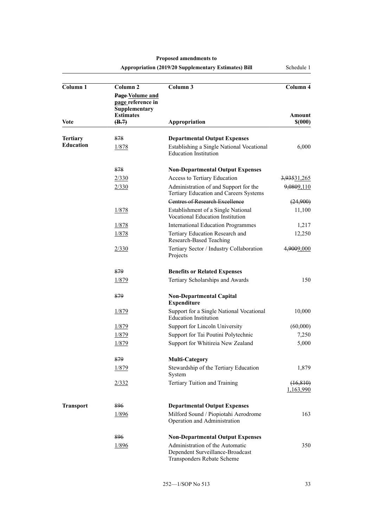| Column <sub>1</sub> | Column <sub>2</sub>                                                       | Column 3                                                                                          | Column 4               |
|---------------------|---------------------------------------------------------------------------|---------------------------------------------------------------------------------------------------|------------------------|
|                     | Page-Volume and<br>page reference in<br>Supplementary<br><b>Estimates</b> |                                                                                                   | Amount                 |
| <b>Vote</b>         | (B.7)                                                                     | Appropriation                                                                                     | \$(000)                |
| <b>Tertiary</b>     | 878                                                                       | <b>Departmental Output Expenses</b>                                                               |                        |
| <b>Education</b>    | 1/878                                                                     | Establishing a Single National Vocational<br><b>Education Institution</b>                         | 6,000                  |
|                     | 878                                                                       | <b>Non-Departmental Output Expenses</b>                                                           |                        |
|                     | 2/330                                                                     | Access to Tertiary Education                                                                      | 3,93531,265            |
|                     | 2/330                                                                     | Administration of and Support for the<br>Tertiary Education and Careers Systems                   | 9,0809,110             |
|                     |                                                                           | <b>Centres of Research Excellence</b>                                                             | (24,900)               |
|                     | 1/878                                                                     | Establishment of a Single National<br>Vocational Education Institution                            | 11,100                 |
|                     | 1/878                                                                     | <b>International Education Programmes</b>                                                         | 1,217                  |
|                     | 1/878                                                                     | Tertiary Education Research and<br>Research-Based Teaching                                        | 12,250                 |
|                     | 2/330                                                                     | Tertiary Sector / Industry Collaboration<br>Projects                                              | 4,9009,000             |
|                     | 879                                                                       | <b>Benefits or Related Expenses</b>                                                               |                        |
|                     | 1/879                                                                     | Tertiary Scholarships and Awards                                                                  | 150                    |
|                     | 879                                                                       | <b>Non-Departmental Capital</b><br><b>Expenditure</b>                                             |                        |
|                     | 1/879                                                                     | Support for a Single National Vocational<br><b>Education Institution</b>                          | 10,000                 |
|                     | 1/879                                                                     | Support for Lincoln University                                                                    | (60,000)               |
|                     | 1/879                                                                     | Support for Tai Poutini Polytechnic                                                               | 7,250                  |
|                     | 1/879                                                                     | Support for Whitireia New Zealand                                                                 | 5,000                  |
|                     | 879                                                                       | <b>Multi-Category</b>                                                                             |                        |
|                     | <u>1/879</u>                                                              | Stewardship of the Tertiary Education<br>System                                                   | 1,879                  |
|                     | 2/332                                                                     | Tertiary Tuition and Training                                                                     | (16, 810)<br>1,163,990 |
| Transport           | 896                                                                       | <b>Departmental Output Expenses</b>                                                               |                        |
|                     | 1/896                                                                     | Milford Sound / Piopiotahi Aerodrome<br>Operation and Administration                              | 163                    |
|                     | 896                                                                       | <b>Non-Departmental Output Expenses</b>                                                           |                        |
|                     | 1/896                                                                     | Administration of the Automatic<br>Dependent Surveillance-Broadcast<br>Transponders Rebate Scheme | 350                    |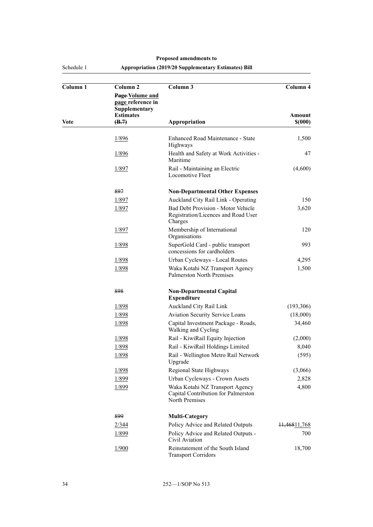Schedule 1

| Column 1 | Column <sub>2</sub><br>Page-Volume and<br>page reference in<br>Supplementary | Column 3                                                                                 | Column 4          |
|----------|------------------------------------------------------------------------------|------------------------------------------------------------------------------------------|-------------------|
| Vote     | <b>Estimates</b><br>(B.7)                                                    | Appropriation                                                                            | Amount<br>\$(000) |
|          | 1/896                                                                        | Enhanced Road Maintenance - State<br>Highways                                            | 1,500             |
|          | 1/896                                                                        | Health and Safety at Work Activities -<br>Maritime                                       | 47                |
|          | 1/897                                                                        | Rail - Maintaining an Electric<br>Locomotive Fleet                                       | (4,600)           |
|          | 897                                                                          | <b>Non-Departmental Other Expenses</b>                                                   |                   |
|          | 1/897                                                                        | Auckland City Rail Link - Operating                                                      | 150               |
|          | 1/897                                                                        | Bad Debt Provision - Motor Vehicle<br>Registration/Licences and Road User<br>Charges     | 3,620             |
|          | 1/897                                                                        | Membership of International<br>Organisations                                             | 120               |
|          | 1/898                                                                        | SuperGold Card - public transport<br>concessions for cardholders                         | 993               |
|          | 1/898                                                                        | Urban Cycleways - Local Routes                                                           | 4,295             |
|          | 1/898                                                                        | Waka Kotahi NZ Transport Agency<br><b>Palmerston North Premises</b>                      | 1,500             |
|          | 898                                                                          | <b>Non-Departmental Capital</b><br><b>Expenditure</b>                                    |                   |
|          | 1/898                                                                        | Auckland City Rail Link                                                                  | (193,306)         |
|          | 1/898                                                                        | Aviation Security Service Loans                                                          | (18,000)          |
|          | 1/898                                                                        | Capital Investment Package - Roads,<br>Walking and Cycling                               | 34,460            |
|          | 1/898                                                                        | Rail - KiwiRail Equity Injection                                                         | (2,000)           |
|          | 1/898                                                                        | Rail - KiwiRail Holdings Limited                                                         | 8,040             |
|          | 1/898                                                                        | Rail - Wellington Metro Rail Network<br>Upgrade                                          | (595)             |
|          | 1/898                                                                        | Regional State Highways                                                                  | (3,066)           |
|          | 1/899                                                                        | Urban Cycleways - Crown Assets                                                           | 2,828             |
|          | 1/899                                                                        | Waka Kotahi NZ Transport Agency<br>Capital Contribution for Palmerston<br>North Premises | 4,800             |
|          | 899                                                                          | <b>Multi-Category</b>                                                                    |                   |
|          | 2/344                                                                        | Policy Advice and Related Outputs                                                        | 11,46811,768      |
|          | 1/899                                                                        | Policy Advice and Related Outputs -<br>Civil Aviation                                    | 700               |
|          | 1/900                                                                        | Reinstatement of the South Island<br><b>Transport Corridors</b>                          | 18,700            |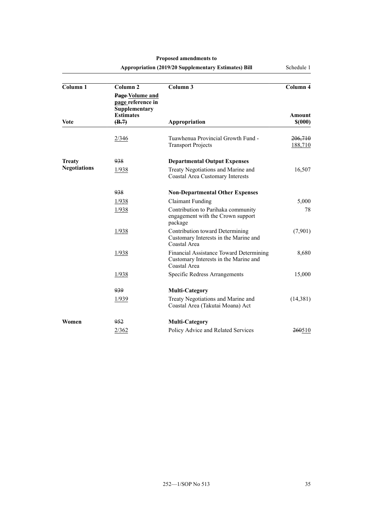|                     |                                                                              | <b>Appropriation (2019/20 Supplementary Estimates) Bill</b>                                      | Schedule 1         |
|---------------------|------------------------------------------------------------------------------|--------------------------------------------------------------------------------------------------|--------------------|
| Column <sub>1</sub> | Column <sub>2</sub><br>Page-Volume and<br>page reference in<br>Supplementary | Column <sub>3</sub>                                                                              | Column 4           |
| Vote                | <b>Estimates</b><br>(B.7)                                                    | Appropriation                                                                                    | Amount<br>\$(000)  |
|                     | 2/346                                                                        | Tuawhenua Provincial Growth Fund -<br><b>Transport Projects</b>                                  | 206,710<br>188,710 |
| <b>Treaty</b>       | 938                                                                          | <b>Departmental Output Expenses</b>                                                              |                    |
| <b>Negotiations</b> | 1/938                                                                        | Treaty Negotiations and Marine and<br>Coastal Area Customary Interests                           | 16,507             |
|                     | 938                                                                          | <b>Non-Departmental Other Expenses</b>                                                           |                    |
|                     | 1/938                                                                        | <b>Claimant Funding</b>                                                                          | 5,000              |
|                     | 1/938                                                                        | Contribution to Parihaka community<br>engagement with the Crown support<br>package               | 78                 |
|                     | 1/938                                                                        | Contribution toward Determining<br>Customary Interests in the Marine and<br>Coastal Area         | (7,901)            |
|                     | 1/938                                                                        | Financial Assistance Toward Determining<br>Customary Interests in the Marine and<br>Coastal Area | 8,680              |
|                     | 1/938                                                                        | Specific Redress Arrangements                                                                    | 15,000             |
|                     | 939                                                                          | <b>Multi-Category</b>                                                                            |                    |
|                     | 1/939                                                                        | Treaty Negotiations and Marine and<br>Coastal Area (Takutai Moana) Act                           | (14, 381)          |
| Women               | 952                                                                          | <b>Multi-Category</b>                                                                            |                    |
|                     | 2/362                                                                        | Policy Advice and Related Services                                                               | 260510             |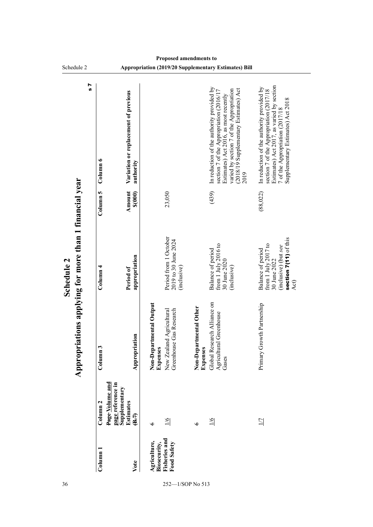<span id="page-39-0"></span>

|            | Schedule 2                                      |                                        |                                                                 |                                     |                                                              |                                    | <b>Appropriation (2019/20 Supplementary Estimates) Bill</b>                                                                                                                                                                |                                                                                                                                                                                                             |
|------------|-------------------------------------------------|----------------------------------------|-----------------------------------------------------------------|-------------------------------------|--------------------------------------------------------------|------------------------------------|----------------------------------------------------------------------------------------------------------------------------------------------------------------------------------------------------------------------------|-------------------------------------------------------------------------------------------------------------------------------------------------------------------------------------------------------------|
|            | 57                                              | Column 6                               | Variation or replacement of previous<br>authority               |                                     |                                                              |                                    | In reduction of the authority provided by<br>(2018/19 Supplementary Estimates) Act<br>varied by section 7 of the Appropriation<br>section 7 of the Appropriation (2016/17<br>Estimates) Act 2016, as most recently<br>2019 | Estimates) Act 2017, as varied by section<br>In reduction of the authority provided by<br>section 7 of the Appropriation (2017/18)<br>Supplementary Estimates) Act 2018<br>7 of the Appropriation (2017/18) |
|            |                                                 | Column 5                               | Amount<br>\$(000)                                               |                                     | 23,050                                                       |                                    | (439)                                                                                                                                                                                                                      | (88,022)                                                                                                                                                                                                    |
| Schedule 2 | iations applying for more than 1 financial year | Column <sub>4</sub>                    | appropriation<br>Period of                                      |                                     | Period from 1 October<br>2019 to 30 June 2024<br>(inclusive) |                                    | from 1 July 2016 to<br>Balance of period<br>30 June 2020<br>(inclusive)                                                                                                                                                    | section 7(11) of this<br>from 1 July 2017 to<br>(inclusive) (but see<br>Balance of period<br>30 June 2022<br>Act)                                                                                           |
|            | Appropri                                        | Column <sub>3</sub>                    | uoin<br>Appropria                                               | Non-Departmental Output<br>Expenses | Greenhouse Gas Research<br>New Zealand Agricultural          | Non-Departmental Other<br>Expenses | Global Research Alliance on<br>Agricultural Greenhouse<br>Gases                                                                                                                                                            | Primary Growth Partnership                                                                                                                                                                                  |
|            |                                                 | Page-Volume and<br>Column <sub>2</sub> | page reference in<br>Supplementary<br><b>Estimates</b><br>(B.7) | ७                                   | $\overline{5}$                                               | $\hat{\mathbf{\Phi}}$              | $\frac{1}{6}$                                                                                                                                                                                                              | $\overline{\mathbb{Z}}$                                                                                                                                                                                     |
|            |                                                 | Column 1                               | Vote                                                            | Agriculture,<br>Biosecurity,        | <b>Fisheries and</b><br>Food Safety                          |                                    |                                                                                                                                                                                                                            |                                                                                                                                                                                                             |

<sup>36</sup> 252—1/SOP No 513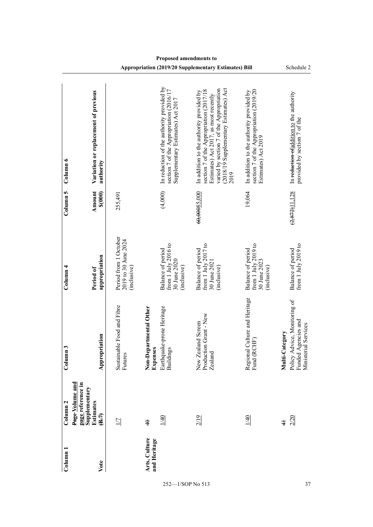| Column 1                      | Column <sub>2</sub>                                                                   | Column <sub>3</sub>                                                         | Column <sub>4</sub>                                                     | Column 5          | Column 6                                                                                                                                                                                                                  |
|-------------------------------|---------------------------------------------------------------------------------------|-----------------------------------------------------------------------------|-------------------------------------------------------------------------|-------------------|---------------------------------------------------------------------------------------------------------------------------------------------------------------------------------------------------------------------------|
| Vote                          | Page-Volume and<br>page reference in<br>Supplementary<br>Estimates<br>$\overline{43}$ | Appropriation                                                               | appropriation<br>Period of                                              | Amount<br>\$(000) | Variation or replacement of previous<br>authority                                                                                                                                                                         |
|                               | $\overline{\mathbb{Z}}$                                                               | Sustainable Food and Fibre<br>Futures                                       | Period from 1 October<br>2019 to 30 June 2024<br>(inclusive)            | 255,491           |                                                                                                                                                                                                                           |
| Arts, Culture<br>and Heritage | $\overline{\mathcal{L}}$                                                              | Non-Departmental Other<br>Expenses                                          |                                                                         |                   |                                                                                                                                                                                                                           |
|                               | 1/40                                                                                  | Earthquake-prone Heritage<br><b>Buildings</b>                               | from 1 July 2016 to<br>Balance of period<br>30 June 2020<br>(inclusive) | (4,000)           | In reduction of the authority provided by<br>section 7 of the Appropriation (2016/17<br>Supplementary Estimates) Act 201                                                                                                  |
|                               | 2/19                                                                                  | Production Grant - New<br>New Zealand Screen<br>Zealand                     | from 1 July 2017 to<br>Balance of period<br>30 June 2021<br>(inclusive) | 60.00085.000      | (2018/19 Supplementary Estimates) Act<br>varied by section 7 of the Appropriation<br>section 7 of the Appropriation (2017/18<br>In addition to the authority provided by<br>Estimates) Act 2017, as most recently<br>2019 |
|                               | 1/40                                                                                  | Culture and Heritage<br>Fund (RCHF)<br>Regional                             | from 1 July 2019 to<br>Balance of period<br>30 June 2023<br>(inclusive) | 19.064            | section 7 of the Appropriation (2019/20<br>Estimates) Act 2019<br>In addition to the authority provided by                                                                                                                |
|                               | $\ddagger$                                                                            | Multi-Category                                                              |                                                                         |                   |                                                                                                                                                                                                                           |
|                               | 2/20                                                                                  | Policy Advice, Monitoring of<br>Funded Agencies and<br>Ministerial Services | from $1$ July $2019$ to<br>Balance of period                            | (2,872)11,128     | In reduction of addition to the authority<br>provided by section 7 of the                                                                                                                                                 |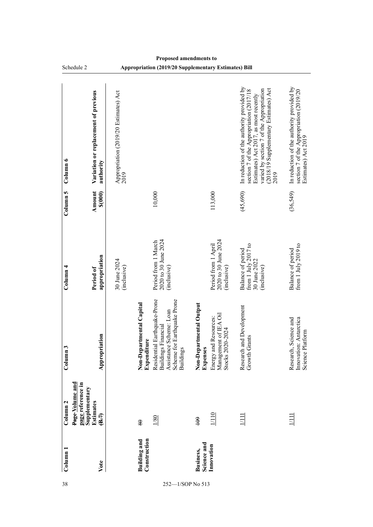| Column 6                | Variation or replacement of previous<br>authority                                     | Appropriation (2019/20 Estimates) Act<br>2019 |                                         |                                                                                                                                   |                                            |                                                                    | In reduction of the authority provided by<br>(2018/19 Supplementary Estimates) Act<br>varied by section 7 of the Appropriation<br>section 7 of the Appropriation (2017/18<br>Estimates) Act 2017, as most recently<br>2019 | In reduction of the authority provided by<br>section 7 of the Appropriation (2019/20<br>Estimates) Act 2019 |
|-------------------------|---------------------------------------------------------------------------------------|-----------------------------------------------|-----------------------------------------|-----------------------------------------------------------------------------------------------------------------------------------|--------------------------------------------|--------------------------------------------------------------------|----------------------------------------------------------------------------------------------------------------------------------------------------------------------------------------------------------------------------|-------------------------------------------------------------------------------------------------------------|
| Column 5                | Amount<br>\$(000)                                                                     |                                               |                                         | 10,000                                                                                                                            |                                            | 113,000                                                            | (45, 690)                                                                                                                                                                                                                  | (36,549)                                                                                                    |
| Column <sub>4</sub>     | appropriation<br>Period of                                                            | 30 June 2024<br>(inclusive)                   |                                         | 2020 to 30 June 2024<br>Period from 1 March<br>(inclusive)                                                                        |                                            | 2020 to 30 June 2024<br>Period from 1 April<br>(inclusive)         | from 1 July 2017 to<br>Balance of period<br>30 June 2022<br>(inclusive)                                                                                                                                                    | from 1 July 2019 to<br>Balance of period                                                                    |
| $\mathbf{C}$<br>Coliumn | Appropriation                                                                         |                                               | Non-Departmental Capital<br>Expenditure | Residential Earthquake-Prone<br>Scheme for Earthquake Prone<br>Assistance Scheme: Loan<br>Buildings Financial<br><b>Buildings</b> | Non-Departmental Output<br><b>Expenses</b> | Management of IEA Oil<br>Energy and Resources:<br>Stocks 2020-2024 | Research and Development<br>Grants<br>Growth                                                                                                                                                                               | Innovation: Antarctica<br>Research, Science and<br>Platform<br>Science                                      |
| Column <sub>2</sub>     | Page-Volume and<br>page reference in<br>Supplementary<br>Estimates<br>$\overline{43}$ |                                               | $\mathbf{a}$                            | 1/80                                                                                                                              | $\frac{4}{3}$                              | 1/110                                                              | 1/111                                                                                                                                                                                                                      | 1/111                                                                                                       |
| $Column$ $1$            | Vote                                                                                  |                                               | Construction<br>Building and            |                                                                                                                                   | Science and<br>Business,                   | Innovation                                                         |                                                                                                                                                                                                                            |                                                                                                             |
| 38                      |                                                                                       |                                               |                                         | 252-1/SOP No 513                                                                                                                  |                                            |                                                                    |                                                                                                                                                                                                                            |                                                                                                             |

#### **Proposed amendments to Appropriation (2019/20 Supplementary Estimates) Bill**

Schedule 2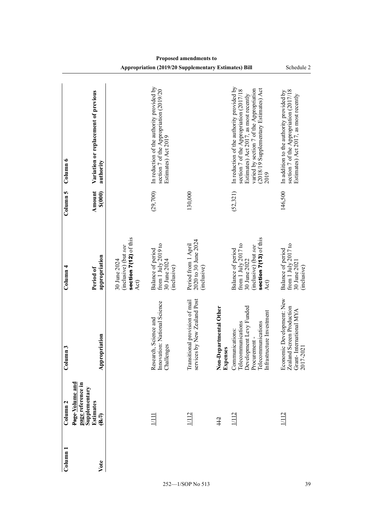| Column <sub>1</sub> | Column <sub>2</sub>                                                         | Column 3                                                                                                                            | $\frac{1}{2}$ Olumn $\frac{4}{2}$                                                                                 | Column 5          | Column 6                                                                                                                                                                                                                   |
|---------------------|-----------------------------------------------------------------------------|-------------------------------------------------------------------------------------------------------------------------------------|-------------------------------------------------------------------------------------------------------------------|-------------------|----------------------------------------------------------------------------------------------------------------------------------------------------------------------------------------------------------------------------|
| Vote                | Page Volume and<br>page reference in<br>Supplementary<br>Estimates<br>(B.7) | Appropriation                                                                                                                       | appropriation<br>Period of                                                                                        | Amount<br>\$(000) | Variation or replacement of previous<br>authority                                                                                                                                                                          |
|                     |                                                                             |                                                                                                                                     | section 7(12) of this<br>(inclusive) (but see<br>30 June 2024<br>Act)                                             |                   |                                                                                                                                                                                                                            |
|                     | $\overline{1}$                                                              | Innovation: National Science<br>Research, Science and<br>Challenges                                                                 | from 1 July 2019 to<br>Balance of period<br>30 June 2024<br>(inclusive)                                           | (29,700)          | In reduction of the authority provided by<br>section 7 of the Appropriation (2019/20<br>Estimates) Act 2019                                                                                                                |
|                     | 1112                                                                        | services by New Zealand Post<br>Transitional provision of mail                                                                      | 2020 to 30 June 2024<br>Period from 1 April<br>(inclusive)                                                        | 130,000           |                                                                                                                                                                                                                            |
|                     | #                                                                           | Non-Departmental Other<br>Expenses                                                                                                  |                                                                                                                   |                   |                                                                                                                                                                                                                            |
|                     | 1/112                                                                       | Development Levy Funded<br>Infrastructure Investment<br>Telecommunications<br>Telecommunications<br>Communications:<br>Procurement- | section 7(13) of this<br>from 1 July 2017 to<br>(inclusive) (but see<br>Balance of period<br>30 June 2022<br>Act) | (52, 321)         | In reduction of the authority provided by<br>(2018/19 Supplementary Estimates) Act<br>varied by section 7 of the Appropriation<br>section 7 of the Appropriation (2017/18<br>Estimates) Act 2017, as most recently<br>2019 |
|                     | 1/112                                                                       | Economic Development: New<br>Zealand Screen Production<br>Grant-International MYA<br>2017-2021                                      | from 1 July 2017 to<br>Balance of period<br>30 June 2021<br>(inclusive)                                           | 146,500           | section 7 of the Appropriation (2017/18<br>In addition to the authority provided by<br>Estimates) Act 2017, as most recently                                                                                               |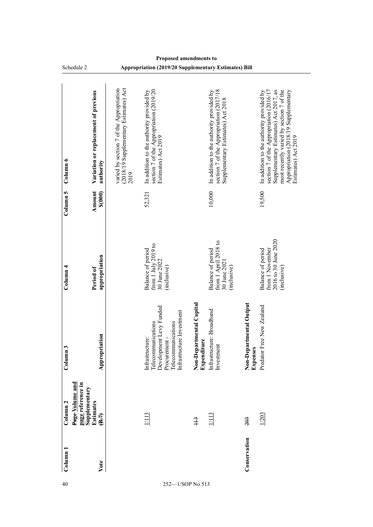|                          | Schedule 2                                                                            |                                                                                           | <b>Appropriation (2019/20 Supplementary Estimates) Bill</b>                                                                         |                                         |                                                                                                                          |                                     |                                                                                                                                                                                                                                         |
|--------------------------|---------------------------------------------------------------------------------------|-------------------------------------------------------------------------------------------|-------------------------------------------------------------------------------------------------------------------------------------|-----------------------------------------|--------------------------------------------------------------------------------------------------------------------------|-------------------------------------|-----------------------------------------------------------------------------------------------------------------------------------------------------------------------------------------------------------------------------------------|
| Column 6                 | Variation or replacement of previous<br>authority                                     | (2018/19 Supplementary Estimates) Act<br>varied by section 7 of the Appropriation<br>2019 | section 7 of the Appropriation (2019/20<br>Estimates) Act 2019<br>In addition to the authority provided by                          |                                         | section 7 of the Appropriation (2017/18<br>In addition to the authority provided by<br>Supplementary Estimates) Act 2018 |                                     | section 7 of the Appropriation (2016/17<br>most recently varied by section 7 of the<br>In addition to the authority provided by<br>Supplementary Estimates) Act 2017, as<br>Appropriation (2018/19 Supplementary<br>Estimates) Act 2019 |
| Column 5                 | Amount<br>\$(000)                                                                     |                                                                                           | 52,321                                                                                                                              |                                         | 10,000                                                                                                                   |                                     | 19,500                                                                                                                                                                                                                                  |
| Column <sub>4</sub>      | appropriation<br>Period of                                                            |                                                                                           | from 1 July 2019 to<br>Balance of period<br>30 June 2022<br>(inclusive)                                                             |                                         | from 1 April 2018 to<br>Balance of period<br>30 June 2021<br>(inclusive)                                                 |                                     | 2016 to 30 June 2020<br>from 1 November<br>Balance of period<br>(inclusive)                                                                                                                                                             |
| $\frac{1}{2}$            | Appropriation                                                                         |                                                                                           | Development Levy Funded<br>Infrastructure Investment<br>Telecommunications<br>Telecommunications<br>Procurement-<br>Infrastructure: | Non-Departmental Capital<br>Expenditure | Infrastructure: Broadband<br>Investment                                                                                  | Non-Departmental Output<br>Expenses | Predator Free New Zealand                                                                                                                                                                                                               |
| Column <sub>2</sub>      | Page Volume and<br>page reference in<br>Supplementary<br>Estimates<br>$\overline{43}$ |                                                                                           | 1/113                                                                                                                               | $\ddagger$                              | 1/113                                                                                                                    | 502                                 | 1/203                                                                                                                                                                                                                                   |
| $_{\rm Column\,1}$<br>40 | Vote                                                                                  |                                                                                           |                                                                                                                                     |                                         |                                                                                                                          | Conservation                        |                                                                                                                                                                                                                                         |
|                          |                                                                                       |                                                                                           | 252-1/SOP No 513                                                                                                                    |                                         |                                                                                                                          |                                     |                                                                                                                                                                                                                                         |

L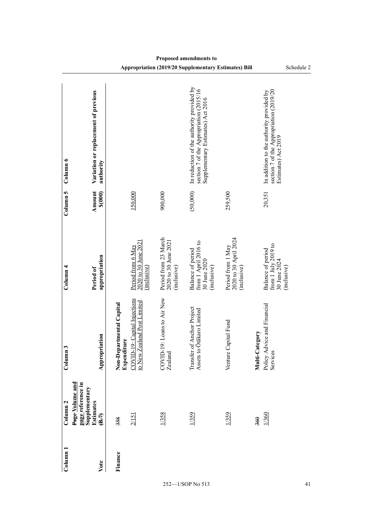| Column <sub>1</sub> | Column <sub>2</sub>                                                                                               | n <sub>3</sub><br>Colum                                        | Column <sub>4</sub>                                                      | Column 5          | Column 6                                                                                                                  |
|---------------------|-------------------------------------------------------------------------------------------------------------------|----------------------------------------------------------------|--------------------------------------------------------------------------|-------------------|---------------------------------------------------------------------------------------------------------------------------|
| Vote                | Page-Volume and<br>page reference in<br>Supplementary<br><b>Estimates</b><br>$\overline{(\mathbf{B},\mathbf{F})}$ | oriation<br>Approj                                             | appropriation<br>Period of                                               | Amount<br>\$(000) | Variation or replacement of previous<br>authority                                                                         |
| Finance             | 358                                                                                                               | Non-Departmental Capital<br>Expenditure                        |                                                                          |                   |                                                                                                                           |
|                     | 2/151                                                                                                             | COVID-19: Capital Injections<br>Zealand Post Limited<br>to New | 2020 to 30 June 2021<br>Period from 6 May<br>(inclusive)                 | 150,000           |                                                                                                                           |
|                     | 1/358                                                                                                             | COVID-19: Loans to Air New<br>Zealand                          | Period from 23 March<br>2020 to 30 June 2021<br>(inclusive)              | 900,000           |                                                                                                                           |
|                     | 1/359                                                                                                             | Transfer of Anchor Project<br>to Ōtākaro Limited<br>Assets     | from 1 April 2016 to<br>Balance of period<br>30 June 2020<br>(inclusive) | (50,000)          | In reduction of the authority provided by<br>section 7 of the Appropriation (2015/16<br>Supplementary Estimates) Act 2016 |
|                     | 1/359                                                                                                             | Venture Capital Fund                                           | 2020 to 30 April 2024<br>Period from 1 May<br>(inclusive)                | 259,500           |                                                                                                                           |
|                     | 1/360<br>360                                                                                                      | Policy Advice and Financial<br>Multi-Category<br>Services      | from 1 July 2019 to<br>Balance of period<br>30 June 2024<br>(inclusive)  | 20,351            | section 7 of the Appropriation (2019/20<br>Estimates) Act 2019<br>In addition to the authority provided by                |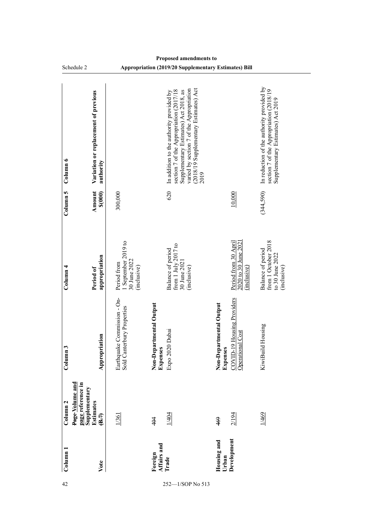| Schedule 2                                                                                |               |                                                                   |                                     | Appropriation (2019/20 Supplementary Estimates) Bill                                                                                                                                                                      |                                            |                                                             |                                                                                                                           |
|-------------------------------------------------------------------------------------------|---------------|-------------------------------------------------------------------|-------------------------------------|---------------------------------------------------------------------------------------------------------------------------------------------------------------------------------------------------------------------------|--------------------------------------------|-------------------------------------------------------------|---------------------------------------------------------------------------------------------------------------------------|
| Variation or replacement of previous<br>Column 6                                          | authority     |                                                                   |                                     | (2018/19 Supplementary Estimates) Act<br>varied by section 7 of the Appropriation<br>section 7 of the Appropriation (2017/18<br>Supplementary Estimates) Act 2018, as<br>In addition to the authority provided by<br>2019 |                                            |                                                             | In reduction of the authority provided by<br>section 7 of the Appropriation (2018/19<br>Supplementary Estimates) Act 2019 |
| Column 5<br>Amount                                                                        | \$(000)       | 300,000                                                           |                                     | 620                                                                                                                                                                                                                       |                                            | 10.000                                                      | (344, 590)                                                                                                                |
| Column <sub>4</sub><br>Period of                                                          | appropriation | 1 September 2019 to<br>30 June 2022<br>Period from<br>(inclusive) |                                     | from 1 July 2017 to<br>Balance of period<br>30 June 2021<br>(inclusive)                                                                                                                                                   |                                            | 2020 to 30 June 2021<br>Period from 30 April<br>(inclusive) | from 1 October 2018<br>Balance of period<br>to 30 June 2022<br>(inclusive)                                                |
| Column <sub>3</sub>                                                                       | Appropriation | Earthquake Commission - On-<br>Sold Canterbury Properties         | Non-Departmental Output<br>Expenses | Expo 2020 Dubai                                                                                                                                                                                                           | Non-Departmental Output<br><b>Expenses</b> | 9 Housing Providers<br>al Cost<br>COVID-1<br>Operation      | Housing<br>KiwiBuild                                                                                                      |
| Page-Volume and<br>page reference in<br>Supplementary<br>Column <sub>2</sub><br>Estimates | (B.7)         | 1/361                                                             | 404                                 | 1/404                                                                                                                                                                                                                     | 469                                        | 2/194                                                       | 1/469                                                                                                                     |
| $_{\rm Column\,1}$                                                                        | Vote          |                                                                   | Affairs and<br>Foreign              | Trade                                                                                                                                                                                                                     | Housing and<br>Urban                       | Development                                                 |                                                                                                                           |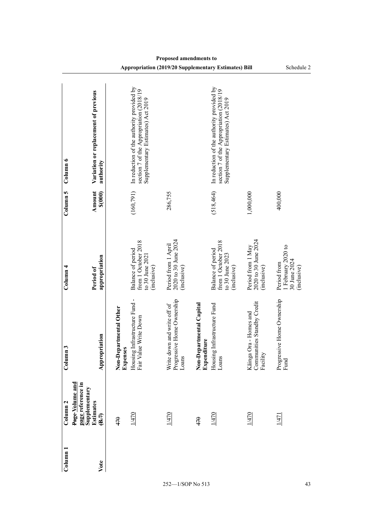| Colum <sub>1</sub> | Column <sub>2</sub>                                                         | Column <sub>3</sub>                                                 | Column <sub>4</sub>                                                        | Column 5          | Column 6                                                                                                                  |
|--------------------|-----------------------------------------------------------------------------|---------------------------------------------------------------------|----------------------------------------------------------------------------|-------------------|---------------------------------------------------------------------------------------------------------------------------|
| Vote               | Page Volume and<br>page reference in<br>Supplementary<br>Estimates<br>(B.7) | Appropriation                                                       | appropriation<br>Period of                                                 | Amount<br>\$(000) | Variation or replacement of previous<br>authority                                                                         |
|                    | 470                                                                         | Non-Departmental Other<br>Expenses                                  |                                                                            |                   |                                                                                                                           |
|                    | 1/470                                                                       | Housing Infrastructure Fund-<br>Fair Value Write Down               | from 1 October 2018<br>Balance of period<br>to 30 June 2021<br>(inclusive) | (160, 791)        | In reduction of the authority provided by<br>section 7 of the Appropriation (2018/19<br>Supplementary Estimates) Act 2019 |
|                    | 1/470                                                                       | Progressive Home Ownership<br>Write down and write off of<br>Loans  | 2020 to 30 June 2024<br>Period from 1 April<br>(inclusive)                 | 286,755           |                                                                                                                           |
|                    | 47€                                                                         | Non-Departmental Capital<br>Expenditure                             |                                                                            |                   |                                                                                                                           |
|                    | 1/470                                                                       | Housing Infrastructure Fund<br>Loans                                | from 1 October 2018<br>Balance of period<br>to 30 June 2023<br>(inclusive) | (518, 464)        | In reduction of the authority provided by<br>section 7 of the Appropriation (2018/19<br>Supplementary Estimates) Act 2019 |
|                    | 1/470                                                                       | Communities Standby Credit<br>Ora - Homes and<br>Kāinga<br>Facility | 2020 to 30 June 2024<br>Period from 1 May<br>(inclusive)                   | 1,000,000         |                                                                                                                           |
|                    | 1/471                                                                       | Progressive Home Ownership<br>Fund                                  | 1 February 2020 to<br>30 June 2024<br>Period from<br>(inclusive)           | 400,000           |                                                                                                                           |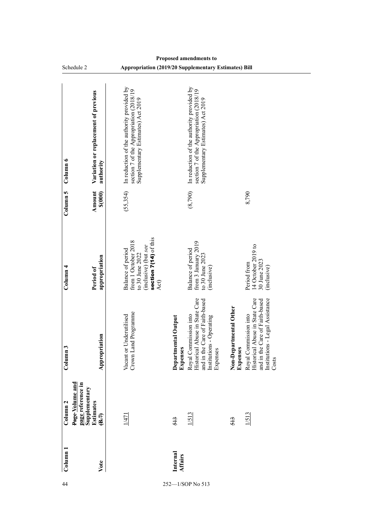|                     | Schedule 2                                                                                   | Appropriation (2019/20 Supplementary Estimates) Bill                                                                      |                                 |                                                                                                                                   |                                    |                                                                                                                                       |
|---------------------|----------------------------------------------------------------------------------------------|---------------------------------------------------------------------------------------------------------------------------|---------------------------------|-----------------------------------------------------------------------------------------------------------------------------------|------------------------------------|---------------------------------------------------------------------------------------------------------------------------------------|
| Column 6            | Variation or replacement of previous<br>authority                                            | In reduction of the authority provided by<br>section 7 of the Appropriation (2018/19<br>Supplementary Estimates) Act 2019 |                                 | In reduction of the authority provided by<br>section 7 of the Appropriation (2018/19<br>Supplementary Estimates) Act 2019         |                                    |                                                                                                                                       |
| Column 5            | Amount<br>\$(000)                                                                            | (55, 354)                                                                                                                 |                                 | (8,790)                                                                                                                           |                                    | 8,790                                                                                                                                 |
| Column 4            | appropriation<br>Period of                                                                   | section 7(14) of this<br>from 1 October 2018<br>(inclusive) (but see<br>Balance of period<br>to 30 June 2022<br>Act)      |                                 | from 3 January 2019<br>Balance of period<br>to 30 June 2023<br>(inclusive)                                                        |                                    | 14 October 2019 to<br>30 June 2023<br>Period from<br>(inclusive)                                                                      |
| Column <sub>3</sub> | Appropriation                                                                                | nd Programme<br>Underutilised<br>Crown Lai<br>Vacant or                                                                   | Departmental Output<br>Expenses | Historical Abuse in State Care<br>and in the Care of Faith-based<br>Royal Commission into<br>Institutions - Operating<br>Expenses | Non-Departmental Other<br>Expenses | Historical Abuse in State Care<br>Institutions - Legal Assistance<br>and in the Care of Faith-based<br>Royal Commission into<br>Costs |
| Column <sub>2</sub> | Page-Volume and<br>page reference in<br>Supplementary<br><b>Estimates</b><br>$\overline{43}$ | 1/471                                                                                                                     | $\ddot{4}$                      | 1/513                                                                                                                             | 513                                | 1/513                                                                                                                                 |
| Column 1            | Vote                                                                                         |                                                                                                                           | Internal<br><b>Affairs</b>      |                                                                                                                                   |                                    |                                                                                                                                       |
| 44                  |                                                                                              | $252 -$                                                                                                                   |                                 | $-1/SOP$ No 513                                                                                                                   |                                    |                                                                                                                                       |

L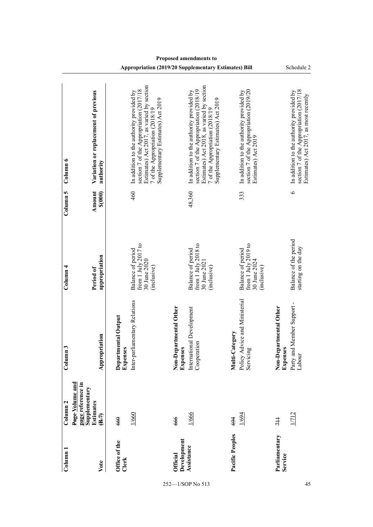| Column 1                              | Column <sub>2</sub>                                                         | S<br>Column                                                                    | Colum <sub>4</sub>                                                          | Column 5          | Column 6                                                                                                                                                                                                                                      |
|---------------------------------------|-----------------------------------------------------------------------------|--------------------------------------------------------------------------------|-----------------------------------------------------------------------------|-------------------|-----------------------------------------------------------------------------------------------------------------------------------------------------------------------------------------------------------------------------------------------|
| Vote                                  | Page Volume and<br>page reference in<br>Supplementary<br>Estimates<br>(B.7) | Appropriation                                                                  | appropriation<br>Period of                                                  | Amount<br>\$(000) | Variation or replacement of previous<br>authority                                                                                                                                                                                             |
| Office of the<br>Clerk                | 1/660<br>\$                                                                 | Inter-parliamentary Relations<br>Departmental Output<br>Expenses               | from 1 July 2017 to<br>Balance of period<br>30 June 2020<br>(inclusive)     | 460               | Estimates) Act 2017, as varied by section<br>section 7 of the Appropriation (2017/18<br>In addition to the authority provided by<br>7 of the Appropriation (2018/19                                                                           |
| Development<br>Assistance<br>Official | 1/666<br>666                                                                | Non-Departmental Other<br>International Development<br>Cooperation<br>Expenses | from 1 July 2018 to<br>Balance of period<br>30 June 2021<br>(inclusive)     | 48,360            | Estimates) Act 2018, as varied by section<br>section 7 of the Appropriation (2018/19<br>In addition to the authority provided by<br>Supplementary Estimates) Act 2019<br>Supplementary Estimates) Act 2019<br>7 of the Appropriation (2018/19 |
| Pacific Peoples                       | 1/694<br>694                                                                | Policy Advice and Ministerial<br>Multi-Category<br>Servicing                   | from $1$ July $2019$ to<br>Balance of period<br>30 June 2024<br>(inclusive) | 333               | section 7 of the Appropriation (2019/20<br>Estimates) Act 2019<br>In addition to the authority provided by                                                                                                                                    |
| Parliamentary<br>Service              | 1/712<br>井                                                                  | Member Support-<br>Non-Departmental Other<br>Expenses<br>Party and<br>Labour   | Balance of the period<br>starting on the day                                | $\circ$           | section 7 of the Appropriation (2017/18<br>In addition to the authority provided by<br>Estimates) Act 2017, as most recently                                                                                                                  |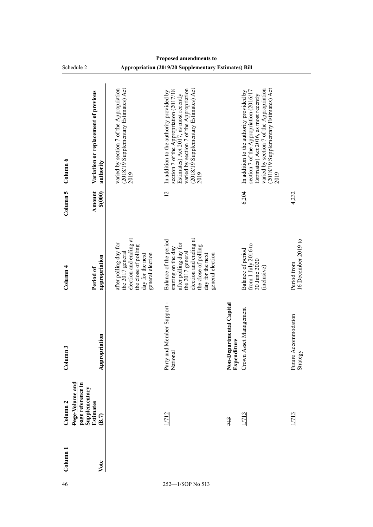|                                       | Schedule 2                                                                     |                                                                                                                                     | <b>Appropriation (2019/20 Supplementary Estimates) Bill</b>                                                                                                                                                               |                                             |                                                                                                                                                                                                                           |                                    |
|---------------------------------------|--------------------------------------------------------------------------------|-------------------------------------------------------------------------------------------------------------------------------------|---------------------------------------------------------------------------------------------------------------------------------------------------------------------------------------------------------------------------|---------------------------------------------|---------------------------------------------------------------------------------------------------------------------------------------------------------------------------------------------------------------------------|------------------------------------|
| Column 6                              | Variation or replacement of previous<br>authority                              | (2018/19 Supplementary Estimates) Act<br>varied by section 7 of the Appropriation<br>2019                                           | (2018/19 Supplementary Estimates) Act<br>varied by section 7 of the Appropriation<br>section 7 of the Appropriation (2017/18<br>In addition to the authority provided by<br>Estimates) Act 2017, as most recently<br>2019 |                                             | (2018/19 Supplementary Estimates) Act<br>varied by section 7 of the Appropriation<br>section 7 of the Appropriation (2016/17<br>In addition to the authority provided by<br>Estimates) Act 2016, as most recently<br>2019 |                                    |
| Column 5                              | Amount<br>$\frac{1}{2}$                                                        |                                                                                                                                     | $\overline{c}$                                                                                                                                                                                                            |                                             | 6,204                                                                                                                                                                                                                     | 4,232                              |
| $\mathop{\mathrm{Column}}\nolimits 4$ | appropriation<br>Period of                                                     | election and ending at<br>after polling day for<br>the close of polling<br>the 2017 general<br>day for the next<br>general election | election and ending at<br>Balance of the period<br>after polling day for<br>the close of polling<br>starting on the day<br>the 2017 general<br>day for the next<br>general election                                       |                                             | from 1 July 2016 to<br>Balance of period<br>30 June 2020<br>(inclusive)                                                                                                                                                   | 16 December 2019 to<br>Period from |
| Column 3                              | Appropriation                                                                  |                                                                                                                                     | Party and Member Support -<br>National                                                                                                                                                                                    | Non-Departmental Capital<br>re<br>Expenditu | Crown Asset Management                                                                                                                                                                                                    | Future Accommodation<br>Strategy   |
| Column <sub>2</sub>                   | Page Volume and<br>page reference in<br>Supplementary<br>Estimates<br>$\oplus$ |                                                                                                                                     | 1/712                                                                                                                                                                                                                     | 713                                         | 1/713                                                                                                                                                                                                                     | 1/713                              |
| Column 1                              | Vote                                                                           |                                                                                                                                     |                                                                                                                                                                                                                           |                                             |                                                                                                                                                                                                                           |                                    |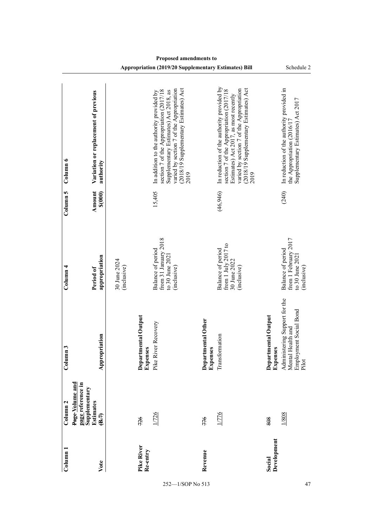|                     |                                                                             |                             |                                 | Appropriation (2019/20 Supplementary Estimates) Bill                                                                                                                                                                      |                                |                                                                                                                                                                                                                            |                                 | Schedule 2                                                                                                   |
|---------------------|-----------------------------------------------------------------------------|-----------------------------|---------------------------------|---------------------------------------------------------------------------------------------------------------------------------------------------------------------------------------------------------------------------|--------------------------------|----------------------------------------------------------------------------------------------------------------------------------------------------------------------------------------------------------------------------|---------------------------------|--------------------------------------------------------------------------------------------------------------|
| Column 6            | Variation or replacement of previous<br>authority                           |                             |                                 | (2018/19 Supplementary Estimates) Act<br>varied by section 7 of the Appropriation<br>section 7 of the Appropriation (2017/18<br>Supplementary Estimates) Act 2018, as<br>In addition to the authority provided by<br>2019 |                                | In reduction of the authority provided by<br>(2018/19 Supplementary Estimates) Act<br>varied by section 7 of the Appropriation<br>section 7 of the Appropriation (2017/18<br>Estimates) Act 2017, as most recently<br>2019 |                                 | In reduction of the authority provided in<br>Supplementary Estimates) Act 2017<br>the Appropriation (2016/17 |
| Column 5            | Amount<br>\$(000)                                                           |                             |                                 | 15,405                                                                                                                                                                                                                    |                                | (46,946)                                                                                                                                                                                                                   |                                 | (240)                                                                                                        |
| Column <sub>4</sub> | appropriation<br>Period of                                                  | 30 June 2024<br>(inclusive) |                                 | from 31 January 2018<br>Balance of period<br>to 30 June 2021<br>(inclusive)                                                                                                                                               |                                | from 1 July 2017 to<br>Balance of period<br>30 June 2022<br>(inclusive)                                                                                                                                                    |                                 | from 1 February 2017<br>Balance of period<br>to 30 June 2021<br>(inclusive)                                  |
| Column 3            | Appropriation                                                               |                             | Departmental Output<br>Expenses | Recovery<br>Pike River                                                                                                                                                                                                    | Departmental Other<br>Expenses | Transformation                                                                                                                                                                                                             | Departmental Output<br>Expenses | Administering Support for the<br>Mental Health and<br>Employment Social Bond<br>Pilot                        |
| Column <sub>2</sub> | Page Volume and<br>page reference in<br>Supplementary<br>Estimates<br>(B.7) |                             | 95L                             | 1/726                                                                                                                                                                                                                     | <del>9LL</del>                 | 1/776                                                                                                                                                                                                                      | 808                             | 1/808                                                                                                        |
| Column 1            | Vote                                                                        |                             | Pike River<br>Re-entry          |                                                                                                                                                                                                                           | Revenue                        |                                                                                                                                                                                                                            | Development<br>Social           |                                                                                                              |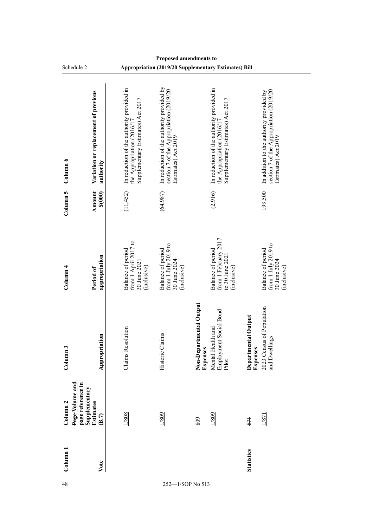|                           | Schedule 2                                                                  |                                                                                                              | Appropriation (2019/20 Supplementary Estimates) Bill                                                        |                                     |                                                                                                              |                                 |                                                                                                            |
|---------------------------|-----------------------------------------------------------------------------|--------------------------------------------------------------------------------------------------------------|-------------------------------------------------------------------------------------------------------------|-------------------------------------|--------------------------------------------------------------------------------------------------------------|---------------------------------|------------------------------------------------------------------------------------------------------------|
| Column 6                  | Variation or replacement of previous<br>authority                           | In reduction of the authority provided in the Appropriation $(2016/17)$<br>Supplementary Estimates) Act 2017 | In reduction of the authority provided by<br>section 7 of the Appropriation (2019/20<br>Estimates) Act 2019 |                                     | In reduction of the authority provided in the Appropriation $(2016/17)$<br>Supplementary Estimates) Act 2017 |                                 | section 7 of the Appropriation (2019/20<br>In addition to the authority provided by<br>Estimates) Act 2019 |
| Column <sub>5</sub>       | Amount<br>\$(000)                                                           | (11, 452)                                                                                                    | (64,987)                                                                                                    |                                     | (2,916)                                                                                                      |                                 | 199,500                                                                                                    |
| Column <sub>4</sub>       | appropriation<br>Period of                                                  | from 1 April 2017 to<br>Balance of period<br>30 June 2021<br>(inclusive)                                     | from 1 July 2019 to<br>Balance of period<br>30 June 2024<br>(inclusive)                                     |                                     | from 1 February 2017<br>Balance of period<br>to 30 June 2021<br>(inclusive)                                  |                                 | from 1 July 2019 to<br>Balance of period<br>30 June 2024<br>(inclusive)                                    |
| Column <sub>3</sub>       | uon<br>Appropria                                                            | <b>Claims Resolution</b>                                                                                     | Historic Claims                                                                                             | Non-Departmental Output<br>Expenses | Employment Social Bond<br>Mental Health and<br>Pilot                                                         | Departmental Output<br>Expenses | 2023 Census of Population<br>mgg<br>and Dwelli                                                             |
| Column <sub>2</sub>       | Page-Volume and<br>page reference in<br>Supplementary<br>Estimates<br>(B.7) | 1/808                                                                                                        | 1/809                                                                                                       | 608                                 | 1/809                                                                                                        | 871                             | 1/871                                                                                                      |
| Column <sub>1</sub><br>48 | Vote                                                                        |                                                                                                              | 252                                                                                                         | $-1/SOP$ No 513                     |                                                                                                              | <b>Statistics</b>               |                                                                                                            |
|                           |                                                                             |                                                                                                              |                                                                                                             |                                     |                                                                                                              |                                 |                                                                                                            |

L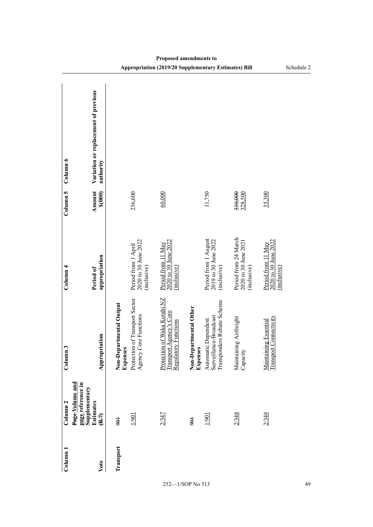| Column <sub>1</sub> | Column <sub>2</sub>                                                                          | Column 3                                                                             | Column <sub>4</sub>                                         | Column 5           | Column 6                                          |
|---------------------|----------------------------------------------------------------------------------------------|--------------------------------------------------------------------------------------|-------------------------------------------------------------|--------------------|---------------------------------------------------|
| Vote                | Page-Volume and<br>page reference in<br>Supplementary<br><b>Estimates</b><br>$\overline{43}$ | Appropriation                                                                        | appropriation<br>Period of                                  | Amount<br>\$(000)  | Variation or replacement of previous<br>authority |
| Transport           | #                                                                                            | Non-Departmental Output<br>Expenses                                                  |                                                             |                    |                                                   |
|                     | 1/901                                                                                        | Protection of Transport Sector<br>Agency Core Functions                              | 2020 to 30 June 2022<br>Period from 1 April<br>(inclusive)  | 236,600            |                                                   |
|                     | 2/347                                                                                        | Protection of Waka Kotahi NZ<br>Transport Agency's Core<br>atory Functions<br>Regula | 2020 to 30 June 2022<br>Period from 11 May<br>(inclusive)   | 60,000             |                                                   |
|                     | #                                                                                            | Non-Departmental Other<br><b>Expenses</b>                                            |                                                             |                    |                                                   |
|                     | 1/901                                                                                        | Transponders Rebate Scheme<br>Surveillance-Broadcast<br>Automatic Dependent          | Period from 1 August<br>2019 to 30 June 2022<br>(inclusive) | 11,750             |                                                   |
|                     | 2/348                                                                                        | Maintaining Airfreight<br>Capacity                                                   | Period from 24 March<br>2020 to 30 June 2021<br>(inclusive) | 330,000<br>328,500 |                                                   |
|                     | 2/348                                                                                        | <b>Transport Connectivity</b><br>Maintaining Essential                               | 2020 to 30 June 2022<br>Period from 11 May<br>(inclusive)   | 35,300             |                                                   |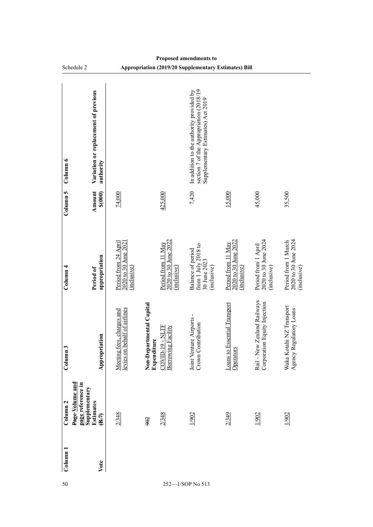|                     | Schedule 2                                                                            |                                                             |                                         |                                                           | <b>Appropriation (2019/20 Supplementary Estimates) Bill</b>                                                              |                                                           |                                                             |                                                            |
|---------------------|---------------------------------------------------------------------------------------|-------------------------------------------------------------|-----------------------------------------|-----------------------------------------------------------|--------------------------------------------------------------------------------------------------------------------------|-----------------------------------------------------------|-------------------------------------------------------------|------------------------------------------------------------|
| Column 6            | Variation or replacement of previous<br>authority                                     |                                                             |                                         |                                                           | section 7 of the Appropriation (2018/19<br>In addition to the authority provided by<br>Supplementary Estimates) Act 2019 |                                                           |                                                             |                                                            |
| Column 5            | Amount<br>\$(000)                                                                     | 74,000                                                      |                                         | 425,000                                                   | 7,420                                                                                                                    | 15,000                                                    | 45,000                                                      | 35,500                                                     |
| Column <sub>4</sub> | appropriation<br>Period of                                                            | 2020 to 30 June 2021<br>Period from 24 April<br>(inclusive) |                                         | 2020 to 30 June 2022<br>Period from 11 May<br>(inclusive) | from 1 July 2018 to<br>Balance of period<br>30 June 2023<br>(inclusive)                                                  | 2020 to 30 June 2022<br>Period from 11 May<br>(inclusive) | 2020 to 30 June 2024<br>Period from 1 April<br>(inclusive)  | 2020 to 30 June 2024<br>Period from 1 March<br>(inclusive) |
| Column <sub>3</sub> | Appropriation                                                                         | levies on behalf of airlines<br>Meeting fees, charges and   | Non-Departmental Capital<br>Expenditure | -NLTF<br><b>Borrowing Facility</b><br>$COVID-19$          | Joint Venture Airports -<br>Crown Contribution                                                                           | Loans to Essential Transport<br>Operators                 | Rail - New Zealand Railways<br>Corporation Equity Injection | Waka Kotahi NZ Transport<br>Agency Regulatory Loans        |
| Column <sub>2</sub> | Page-Volume and<br>page reference in<br>Supplementary<br><b>Estimates</b><br>$\oplus$ | 2/348                                                       | 392                                     | 2/348                                                     | 1/902                                                                                                                    | 2/349                                                     | 1/902                                                       | 1/902                                                      |
| Column 1            | Vote                                                                                  |                                                             |                                         |                                                           |                                                                                                                          |                                                           |                                                             |                                                            |

L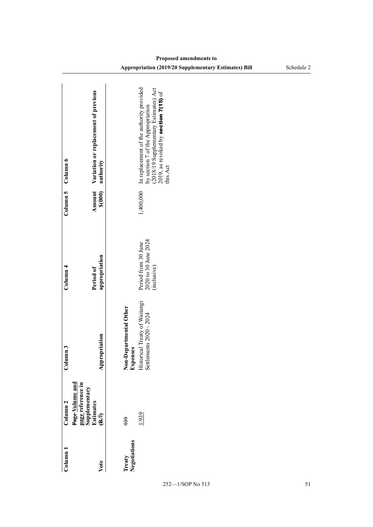| $\text{I}$ olumn      | Column <sub>2</sub>                                                       | م<br>m<br>Colum                                          | $\operatorname{Column} 4$                                  | Column 5 $\degree$ Column 6 |                                                                                                                                                                             |
|-----------------------|---------------------------------------------------------------------------|----------------------------------------------------------|------------------------------------------------------------|-----------------------------|-----------------------------------------------------------------------------------------------------------------------------------------------------------------------------|
| Vote                  | Page-Volume and<br>page reference in<br>Supplementary<br>Estimates<br>4.4 | Appropriation                                            | appropriation<br>Period of                                 | Amount<br>\$(000)           | Variation or replacement of previous<br>authority                                                                                                                           |
| legotiations<br>reaty | 99                                                                        | Non-Departmental Other<br>Expenses                       |                                                            |                             |                                                                                                                                                                             |
|                       | 1/939                                                                     | Historical Treaty of Waitangi<br>Settlements 2020 - 2024 | 2020 to 30 June 2024<br>Period from 30 June<br>(inclusive) | 1,400,000                   | In replacement of the authority provided<br>(2018/19 Supplementary Estimates) Act<br>2019, as revoked by section $7(15)$ of<br>by section 7 of the Appropriation<br>his Act |
|                       |                                                                           |                                                          |                                                            |                             |                                                                                                                                                                             |